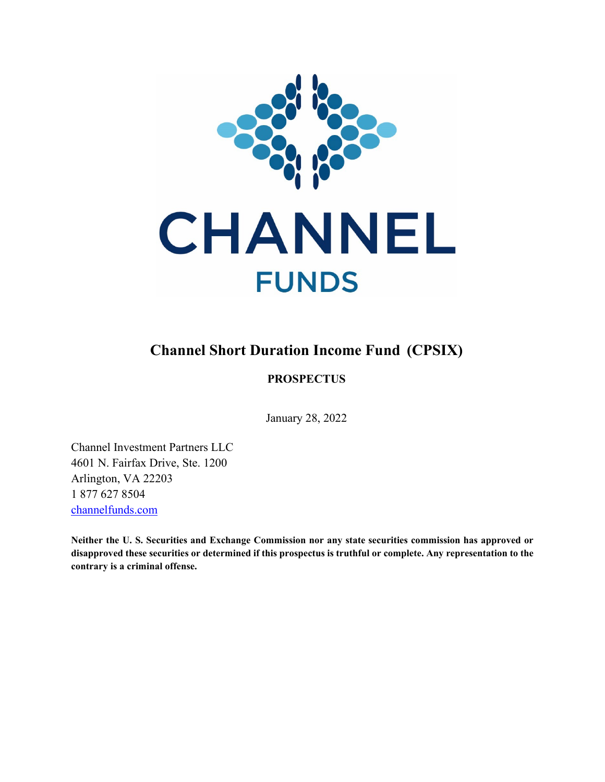

# **Channel Short Duration Income Fund (CPSIX)**

# **PROSPECTUS**

January 28, 2022

Channel Investment Partners LLC 4601 N. Fairfax Drive, Ste. 1200 Arlington, VA 22203 1 877 627 8504 [channelfunds.com](https://channelfunds.com/)

**Neither the U. S. Securities and Exchange Commission nor any state securities commission has approved or disapproved these securities or determined if this prospectus is truthful or complete. Any representation to the contrary is a criminal offense.**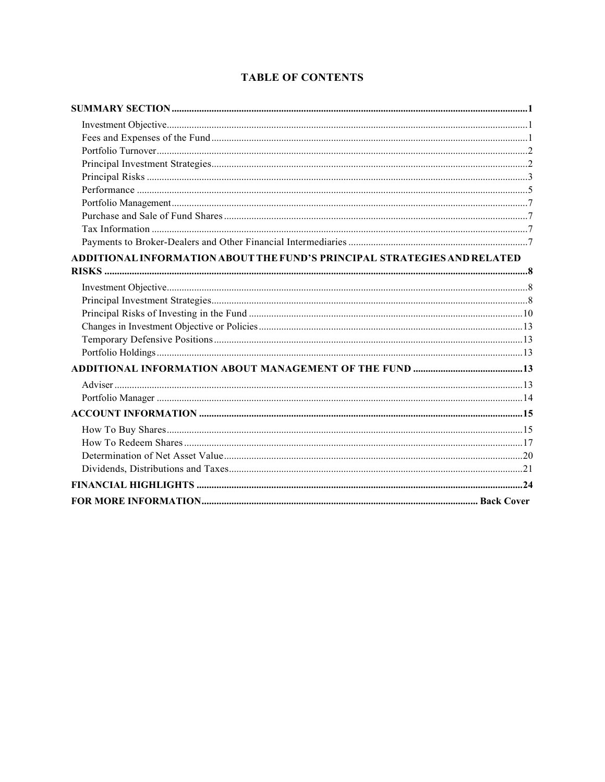# **TABLE OF CONTENTS**

| ADDITIONAL INFORMATION ABOUT THE FUND'S PRINCIPAL STRATEGIES AND RELATED |  |
|--------------------------------------------------------------------------|--|
|                                                                          |  |
|                                                                          |  |
|                                                                          |  |
|                                                                          |  |
|                                                                          |  |
|                                                                          |  |
|                                                                          |  |
|                                                                          |  |
|                                                                          |  |
|                                                                          |  |
|                                                                          |  |
|                                                                          |  |
|                                                                          |  |
|                                                                          |  |
|                                                                          |  |
|                                                                          |  |
|                                                                          |  |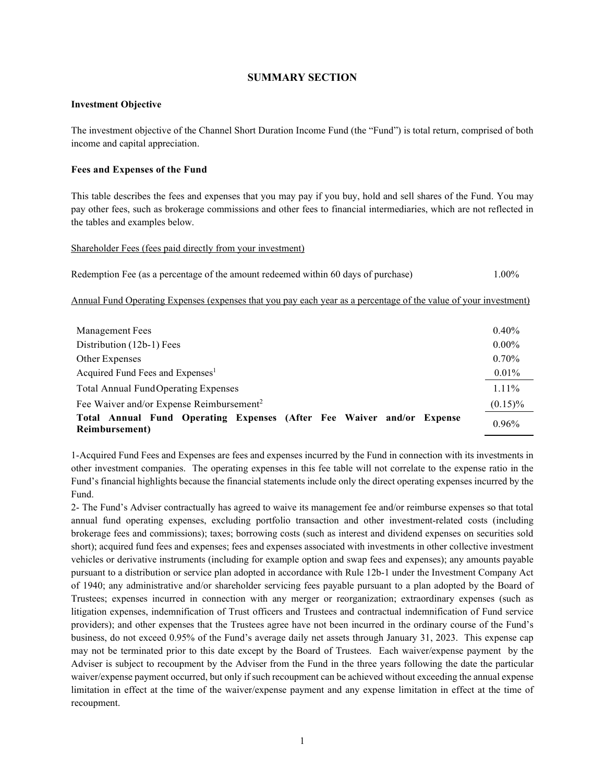## **SUMMARY SECTION**

#### <span id="page-2-1"></span><span id="page-2-0"></span>**Investment Objective**

The investment objective of the Channel Short Duration Income Fund (the "Fund") is total return, comprised of both income and capital appreciation.

#### <span id="page-2-2"></span>**Fees and Expenses of the Fund**

This table describes the fees and expenses that you may pay if you buy, hold and sell shares of the Fund. You may pay other fees, such as brokerage commissions and other fees to financial intermediaries, which are not reflected in the tables and examples below.

#### Shareholder Fees (fees paid directly from your investment)

|  | Redemption Fee (as a percentage of the amount redeemed within 60 days of purchase) | 1.00% |
|--|------------------------------------------------------------------------------------|-------|
|  |                                                                                    |       |

#### Annual Fund Operating Expenses (expenses that you pay each year as a percentage of the value of your investment)

| <b>Management Fees</b>                                                                  | $0.40\%$   |
|-----------------------------------------------------------------------------------------|------------|
| Distribution (12b-1) Fees                                                               | $0.00\%$   |
| Other Expenses                                                                          | $0.70\%$   |
| Acquired Fund Fees and Expenses <sup>1</sup>                                            | $0.01\%$   |
| <b>Total Annual FundOperating Expenses</b>                                              | 1.11%      |
| Fee Waiver and/or Expense Reimbursement <sup>2</sup>                                    | $(0.15)\%$ |
| Total Annual Fund Operating Expenses (After Fee Waiver and/or Expense<br>Reimbursement) | 0.96%      |

1-Acquired Fund Fees and Expenses are fees and expenses incurred by the Fund in connection with its investments in other investment companies. The operating expenses in this fee table will not correlate to the expense ratio in the Fund's financial highlights because the financial statements include only the direct operating expenses incurred by the Fund.

2- The Fund's Adviser contractually has agreed to waive its management fee and/or reimburse expenses so that total annual fund operating expenses, excluding portfolio transaction and other investment-related costs (including brokerage fees and commissions); taxes; borrowing costs (such as interest and dividend expenses on securities sold short); acquired fund fees and expenses; fees and expenses associated with investments in other collective investment vehicles or derivative instruments (including for example option and swap fees and expenses); any amounts payable pursuant to a distribution or service plan adopted in accordance with Rule 12b-1 under the Investment Company Act of 1940; any administrative and/or shareholder servicing fees payable pursuant to a plan adopted by the Board of Trustees; expenses incurred in connection with any merger or reorganization; extraordinary expenses (such as litigation expenses, indemnification of Trust officers and Trustees and contractual indemnification of Fund service providers); and other expenses that the Trustees agree have not been incurred in the ordinary course of the Fund's business, do not exceed 0.95% of the Fund's average daily net assets through January 31, 2023. This expense cap may not be terminated prior to this date except by the Board of Trustees. Each waiver/expense payment by the Adviser is subject to recoupment by the Adviser from the Fund in the three years following the date the particular waiver/expense payment occurred, but only if such recoupment can be achieved without exceeding the annual expense limitation in effect at the time of the waiver/expense payment and any expense limitation in effect at the time of recoupment.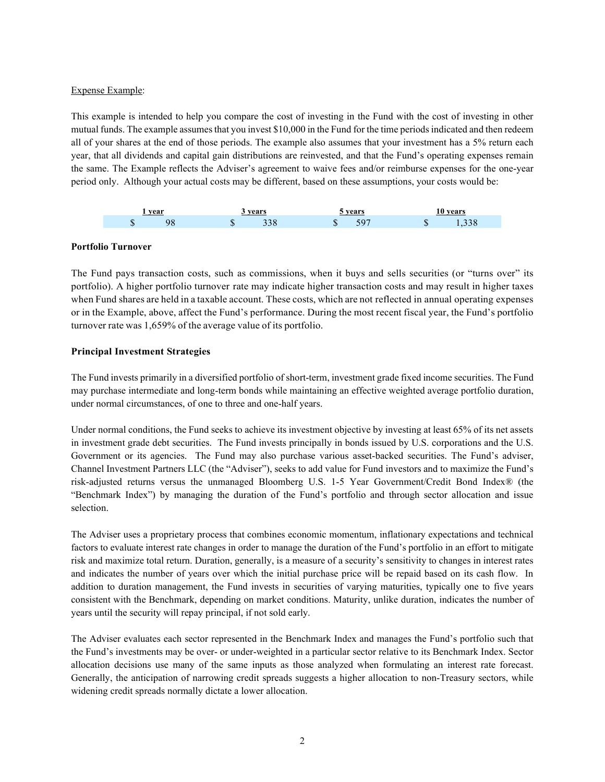## Expense Example:

This example is intended to help you compare the cost of investing in the Fund with the cost of investing in other mutual funds. The example assumes that you invest \$10,000 in the Fund for the time periods indicated and then redeem all of your shares at the end of those periods. The example also assumes that your investment has a 5% return each year, that all dividends and capital gain distributions are reinvested, and that the Fund's operating expenses remain the same. The Example reflects the Adviser's agreement to waive fees and/or reimburse expenses for the one-year period only. Although your actual costs may be different, based on these assumptions, your costs would be:



## <span id="page-3-0"></span>**Portfolio Turnover**

The Fund pays transaction costs, such as commissions, when it buys and sells securities (or "turns over" its portfolio). A higher portfolio turnover rate may indicate higher transaction costs and may result in higher taxes when Fund shares are held in a taxable account. These costs, which are not reflected in annual operating expenses or in the Example, above, affect the Fund's performance. During the most recent fiscal year, the Fund's portfolio turnover rate was 1,659% of the average value of its portfolio.

# <span id="page-3-1"></span>**Principal Investment Strategies**

The Fund invests primarily in a diversified portfolio of short-term, investment grade fixed income securities. The Fund may purchase intermediate and long-term bonds while maintaining an effective weighted average portfolio duration, under normal circumstances, of one to three and one-half years.

Under normal conditions, the Fund seeks to achieve its investment objective by investing at least 65% of its net assets in investment grade debt securities. The Fund invests principally in bonds issued by U.S. corporations and the U.S. Government or its agencies. The Fund may also purchase various asset-backed securities. The Fund's adviser, Channel Investment Partners LLC (the "Adviser"), seeks to add value for Fund investors and to maximize the Fund's risk-adjusted returns versus the unmanaged Bloomberg U.S. 1-5 Year Government/Credit Bond Index® (the "Benchmark Index") by managing the duration of the Fund's portfolio and through sector allocation and issue selection.

The Adviser uses a proprietary process that combines economic momentum, inflationary expectations and technical factors to evaluate interest rate changes in order to manage the duration of the Fund's portfolio in an effort to mitigate risk and maximize total return. Duration, generally, is a measure of a security's sensitivity to changes in interest rates and indicates the number of years over which the initial purchase price will be repaid based on its cash flow. In addition to duration management, the Fund invests in securities of varying maturities, typically one to five years consistent with the Benchmark, depending on market conditions. Maturity, unlike duration, indicates the number of years until the security will repay principal, if not sold early.

The Adviser evaluates each sector represented in the Benchmark Index and manages the Fund's portfolio such that the Fund's investments may be over- or under-weighted in a particular sector relative to its Benchmark Index. Sector allocation decisions use many of the same inputs as those analyzed when formulating an interest rate forecast. Generally, the anticipation of narrowing credit spreads suggests a higher allocation to non-Treasury sectors, while widening credit spreads normally dictate a lower allocation.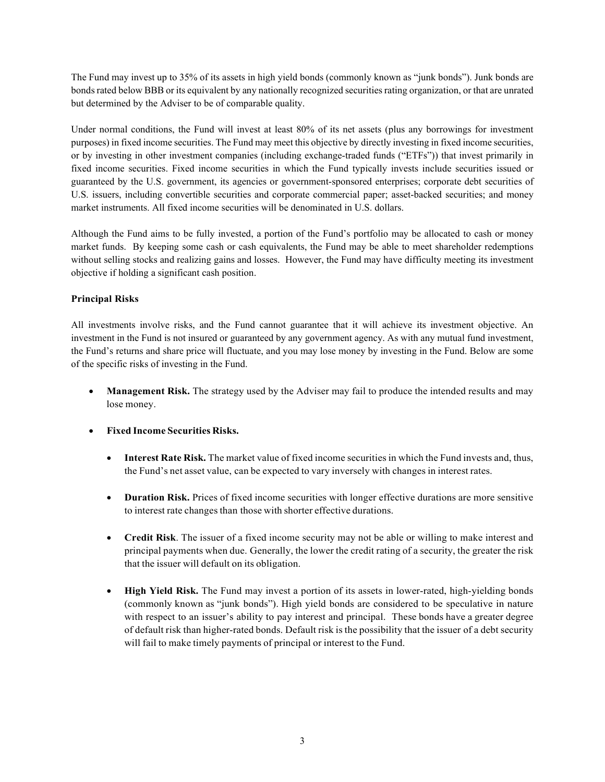The Fund may invest up to 35% of its assets in high yield bonds (commonly known as "junk bonds"). Junk bonds are bonds rated below BBB or its equivalent by any nationally recognized securities rating organization, or that are unrated but determined by the Adviser to be of comparable quality.

Under normal conditions, the Fund will invest at least 80% of its net assets (plus any borrowings for investment purposes) in fixed income securities. The Fund may meet this objective by directly investing in fixed income securities, or by investing in other investment companies (including exchange-traded funds ("ETFs")) that invest primarily in fixed income securities. Fixed income securities in which the Fund typically invests include securities issued or guaranteed by the U.S. government, its agencies or government-sponsored enterprises; corporate debt securities of U.S. issuers, including convertible securities and corporate commercial paper; asset-backed securities; and money market instruments. All fixed income securities will be denominated in U.S. dollars.

Although the Fund aims to be fully invested, a portion of the Fund's portfolio may be allocated to cash or money market funds. By keeping some cash or cash equivalents, the Fund may be able to meet shareholder redemptions without selling stocks and realizing gains and losses. However, the Fund may have difficulty meeting its investment objective if holding a significant cash position.

# <span id="page-4-0"></span>**Principal Risks**

All investments involve risks, and the Fund cannot guarantee that it will achieve its investment objective. An investment in the Fund is not insured or guaranteed by any government agency. As with any mutual fund investment, the Fund's returns and share price will fluctuate, and you may lose money by investing in the Fund. Below are some of the specific risks of investing in the Fund.

- **Management Risk.** The strategy used by the Adviser may fail to produce the intended results and may lose money.
- **Fixed Income Securities Risks.**
	- **Interest Rate Risk.** The market value of fixed income securitiesin which the Fund invests and, thus, the Fund's net asset value, can be expected to vary inversely with changes in interest rates.
	- **Duration Risk.** Prices of fixed income securities with longer effective durations are more sensitive to interest rate changes than those with shorter effective durations.
	- **Credit Risk**. The issuer of a fixed income security may not be able or willing to make interest and principal payments when due. Generally, the lower the credit rating of a security, the greater the risk that the issuer will default on its obligation.
	- **High Yield Risk.** The Fund may invest a portion of its assets in lower-rated, high-yielding bonds (commonly known as "junk bonds"). High yield bonds are considered to be speculative in nature with respect to an issuer's ability to pay interest and principal. These bonds have a greater degree of default risk than higher-rated bonds. Default risk is the possibility that the issuer of a debt security will fail to make timely payments of principal or interest to the Fund.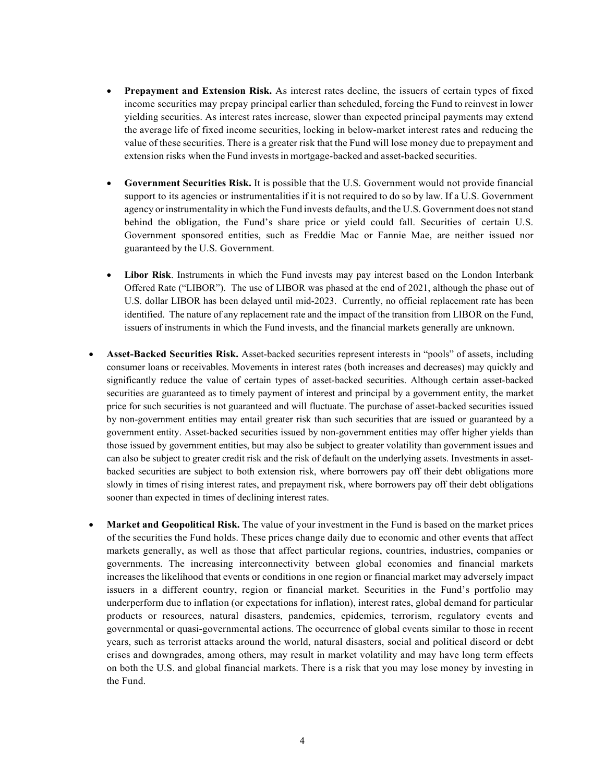- **Prepayment and Extension Risk.** As interest rates decline, the issuers of certain types of fixed income securities may prepay principal earlier than scheduled, forcing the Fund to reinvest in lower yielding securities. As interest rates increase, slower than expected principal payments may extend the average life of fixed income securities, locking in below-market interest rates and reducing the value of these securities. There is a greater risk that the Fund will lose money due to prepayment and extension risks when the Fund investsin mortgage-backed and asset-backed securities.
- **Government Securities Risk.** It is possible that the U.S. Government would not provide financial support to its agencies or instrumentalities if it is not required to do so by law. If a U.S. Government agency or instrumentality in which the Fund invests defaults, and the U.S. Government does notstand behind the obligation, the Fund's share price or yield could fall. Securities of certain U.S. Government sponsored entities, such as Freddie Mac or Fannie Mae, are neither issued nor guaranteed by the U.S. Government.
- **Libor Risk**. Instruments in which the Fund invests may pay interest based on the London Interbank Offered Rate ("LIBOR"). The use of LIBOR was phased at the end of 2021, although the phase out of U.S. dollar LIBOR has been delayed until mid-2023. Currently, no official replacement rate has been identified. The nature of any replacement rate and the impact of the transition from LIBOR on the Fund, issuers of instruments in which the Fund invests, and the financial markets generally are unknown.
- **Asset-Backed Securities Risk.** Asset-backed securities represent interests in "pools" of assets, including consumer loans or receivables. Movements in interest rates (both increases and decreases) may quickly and significantly reduce the value of certain types of asset-backed securities. Although certain asset-backed securities are guaranteed as to timely payment of interest and principal by a government entity, the market price for such securities is not guaranteed and will fluctuate. The purchase of asset-backed securities issued by non-government entities may entail greater risk than such securities that are issued or guaranteed by a government entity. Asset-backed securities issued by non-government entities may offer higher yields than those issued by government entities, but may also be subject to greater volatility than government issues and can also be subject to greater credit risk and the risk of default on the underlying assets. Investments in assetbacked securities are subject to both extension risk, where borrowers pay off their debt obligations more slowly in times of rising interest rates, and prepayment risk, where borrowers pay off their debt obligations sooner than expected in times of declining interest rates.
- **Market and Geopolitical Risk.** The value of your investment in the Fund is based on the market prices of the securities the Fund holds. These prices change daily due to economic and other events that affect markets generally, as well as those that affect particular regions, countries, industries, companies or governments. The increasing interconnectivity between global economies and financial markets increases the likelihood that events or conditions in one region or financial market may adversely impact issuers in a different country, region or financial market. Securities in the Fund's portfolio may underperform due to inflation (or expectations for inflation), interest rates, global demand for particular products or resources, natural disasters, pandemics, epidemics, terrorism, regulatory events and governmental or quasi-governmental actions. The occurrence of global events similar to those in recent years, such as terrorist attacks around the world, natural disasters, social and political discord or debt crises and downgrades, among others, may result in market volatility and may have long term effects on both the U.S. and global financial markets. There is a risk that you may lose money by investing in the Fund.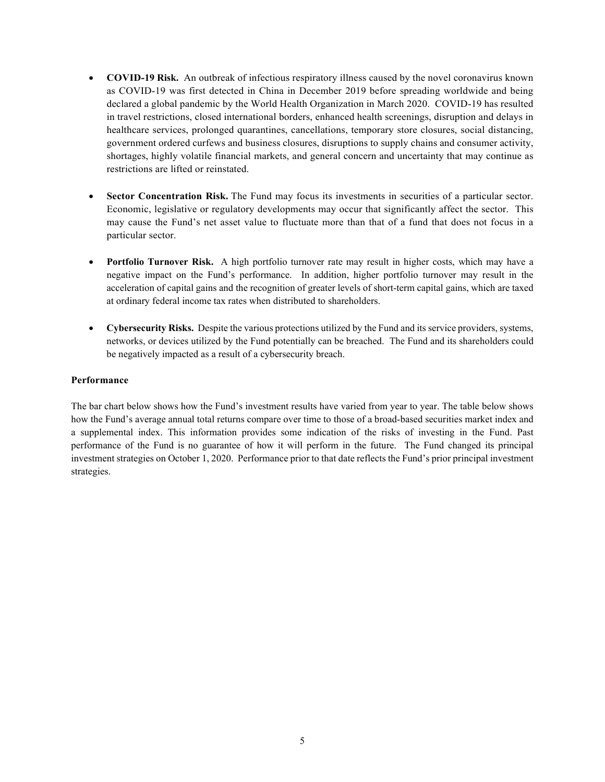- **COVID-19 Risk.** An outbreak of infectious respiratory illness caused by the novel coronavirus known as COVID-19 was first detected in China in December 2019 before spreading worldwide and being declared a global pandemic by the World Health Organization in March 2020. COVID-19 has resulted in travel restrictions, closed international borders, enhanced health screenings, disruption and delays in healthcare services, prolonged quarantines, cancellations, temporary store closures, social distancing, government ordered curfews and business closures, disruptions to supply chains and consumer activity, shortages, highly volatile financial markets, and general concern and uncertainty that may continue as restrictions are lifted or reinstated.
- **Sector Concentration Risk.** The Fund may focus its investments in securities of a particular sector. Economic, legislative or regulatory developments may occur that significantly affect the sector. This may cause the Fund's net asset value to fluctuate more than that of a fund that does not focus in a particular sector.
- **Portfolio Turnover Risk.** A high portfolio turnover rate may result in higher costs, which may have a negative impact on the Fund's performance. In addition, higher portfolio turnover may result in the acceleration of capital gains and the recognition of greater levels of short-term capital gains, which are taxed at ordinary federal income tax rates when distributed to shareholders.
- **Cybersecurity Risks.** Despite the various protections utilized by the Fund and its service providers, systems, networks, or devices utilized by the Fund potentially can be breached. The Fund and its shareholders could be negatively impacted as a result of a cybersecurity breach.

## <span id="page-6-0"></span>**Performance**

The bar chart below shows how the Fund's investment results have varied from year to year. The table below shows how the Fund's average annual total returns compare over time to those of a broad-based securities market index and a supplemental index. This information provides some indication of the risks of investing in the Fund. Past performance of the Fund is no guarantee of how it will perform in the future. The Fund changed its principal investment strategies on October 1, 2020. Performance prior to that date reflects the Fund's prior principal investment strategies.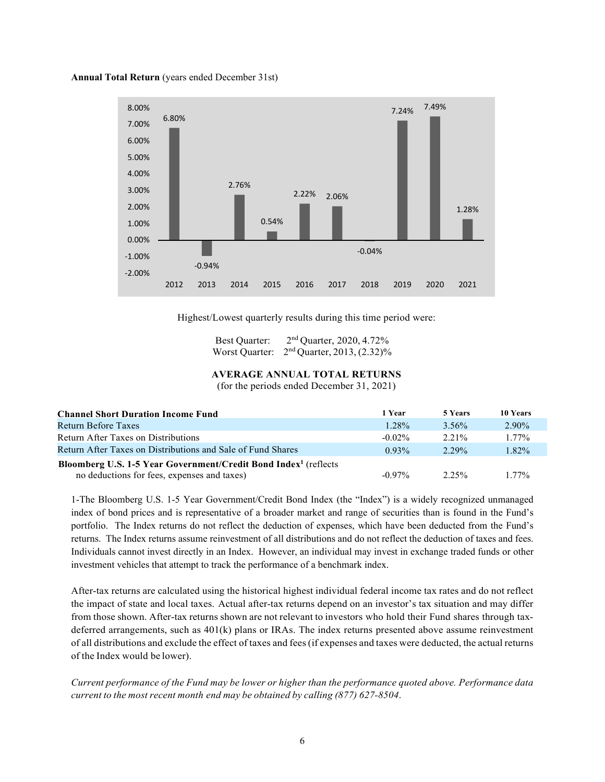**Annual Total Return** (years ended December 31st)



Highest/Lowest quarterly results during this time period were:

Best Quarter:  $2<sup>nd</sup>$  Quarter, 2020, 4.72% Worst Quarter:  $2<sup>nd</sup>$  Quarter, 2013, (2.32)%

# **AVERAGE ANNUAL TOTAL RETURNS**

(for the periods ended December 31, 2021)

| <b>Channel Short Duration Income Fund</b>                                    | 1 Year    | 5 Years  | 10 Years |
|------------------------------------------------------------------------------|-----------|----------|----------|
| Return Before Taxes                                                          | 1.28%     | 3.56%    | $2.90\%$ |
| Return After Taxes on Distributions                                          | $-0.02\%$ | 2.21%    | $1.77\%$ |
| Return After Taxes on Distributions and Sale of Fund Shares                  | $0.93\%$  | $2.29\%$ | 1.82%    |
| Bloomberg U.S. 1-5 Year Government/Credit Bond Index <sup>1</sup> (reflects) |           |          |          |
| no deductions for fees, expenses and taxes)                                  | $-0.97\%$ | $2.25\%$ | $1.77\%$ |

1-The Bloomberg U.S. 1-5 Year Government/Credit Bond Index (the "Index") is a widely recognized unmanaged index of bond prices and is representative of a broader market and range of securities than is found in the Fund's portfolio. The Index returns do not reflect the deduction of expenses, which have been deducted from the Fund's returns. The Index returns assume reinvestment of all distributions and do not reflect the deduction of taxes and fees. Individuals cannot invest directly in an Index. However, an individual may invest in exchange traded funds or other investment vehicles that attempt to track the performance of a benchmark index.

After-tax returns are calculated using the historical highest individual federal income tax rates and do not reflect the impact of state and local taxes. Actual after-tax returns depend on an investor's tax situation and may differ from those shown. After-tax returns shown are not relevant to investors who hold their Fund shares through taxdeferred arrangements, such as 401(k) plans or IRAs. The index returns presented above assume reinvestment of all distributions and exclude the effect of taxes and fees(if expenses and taxes were deducted, the actual returns of the Index would be lower).

Current performance of the Fund may be lower or higher than the performance quoted above. Performance data *current to the most recent month end may be obtained by calling (877) 627-8504*.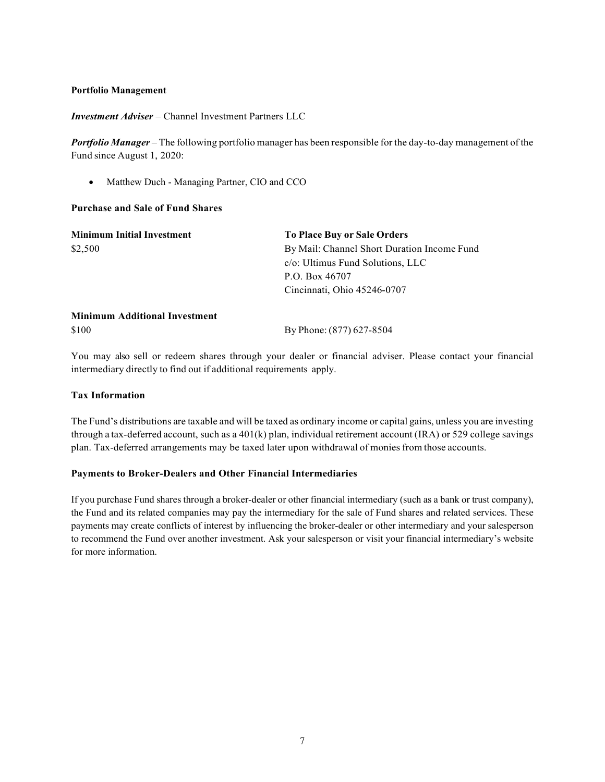#### <span id="page-8-0"></span>**Portfolio Management**

*Investment Adviser* – Channel Investment Partners LLC

*Portfolio Manager* – The following portfolio manager has been responsible for the day-to-day management of the Fund since August 1, 2020:

• Matthew Duch - Managing Partner, CIO and CCO

#### <span id="page-8-1"></span>**Purchase and Sale of Fund Shares**

| <b>Minimum Initial Investment</b>    | <b>To Place Buy or Sale Orders</b>          |  |  |  |
|--------------------------------------|---------------------------------------------|--|--|--|
| \$2,500                              | By Mail: Channel Short Duration Income Fund |  |  |  |
|                                      | c/o: Ultimus Fund Solutions, LLC            |  |  |  |
|                                      | P.O. Box 46707                              |  |  |  |
|                                      | Cincinnati, Ohio 45246-0707                 |  |  |  |
| <b>Minimum Additional Investment</b> |                                             |  |  |  |
| \$100                                | By Phone: (877) 627-8504                    |  |  |  |

You may also sell or redeem shares through your dealer or financial adviser. Please contact your financial intermediary directly to find out if additional requirements apply.

#### <span id="page-8-2"></span>**Tax Information**

The Fund's distributions are taxable and will be taxed as ordinary income or capital gains, unless you are investing through a tax-deferred account, such as a  $401(k)$  plan, individual retirement account (IRA) or 529 college savings plan. Tax-deferred arrangements may be taxed later upon withdrawal of moniesfrom those accounts.

#### <span id="page-8-3"></span>**Payments to Broker-Dealers and Other Financial Intermediaries**

<span id="page-8-4"></span>If you purchase Fund shares through a broker-dealer or other financial intermediary (such as a bank or trust company), the Fund and its related companies may pay the intermediary for the sale of Fund shares and related services. These payments may create conflicts of interest by influencing the broker-dealer or other intermediary and your salesperson to recommend the Fund over another investment. Ask your salesperson or visit your financial intermediary's website for more information.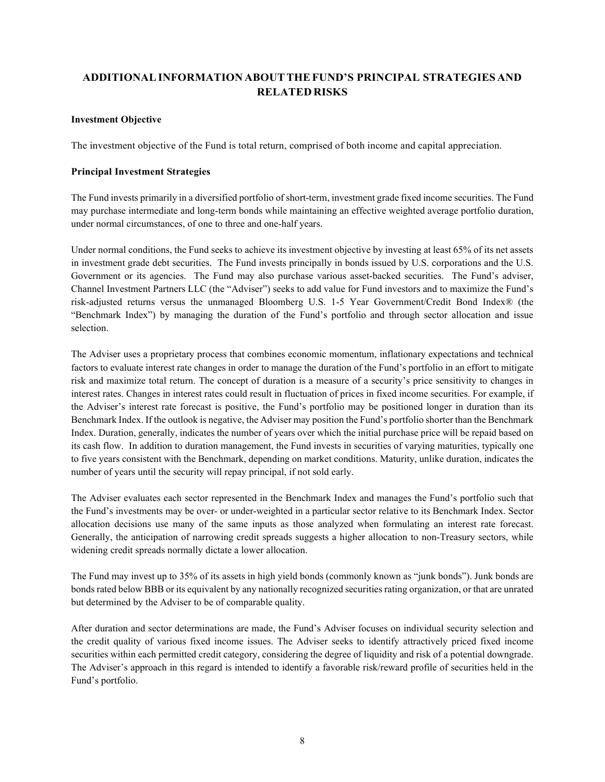# **ADDITIONALINFORMATION ABOUTTHEFUND'S PRINCIPAL STRATEGIES AND RELATED RISKS**

## <span id="page-9-0"></span>**Investment Objective**

The investment objective of the Fund is total return, comprised of both income and capital appreciation.

#### <span id="page-9-1"></span>**Principal Investment Strategies**

The Fund invests primarily in a diversified portfolio of short-term, investment grade fixed income securities. The Fund may purchase intermediate and long-term bonds while maintaining an effective weighted average portfolio duration, under normal circumstances, of one to three and one-half years.

Under normal conditions, the Fund seeks to achieve its investment objective by investing at least 65% of its net assets in investment grade debt securities. The Fund invests principally in bonds issued by U.S. corporations and the U.S. Government or its agencies. The Fund may also purchase various asset-backed securities. The Fund's adviser, Channel Investment Partners LLC (the "Adviser") seeks to add value for Fund investors and to maximize the Fund's risk-adjusted returns versus the unmanaged Bloomberg U.S. 1-5 Year Government/Credit Bond Index® (the "Benchmark Index") by managing the duration of the Fund's portfolio and through sector allocation and issue selection.

The Adviser uses a proprietary process that combines economic momentum, inflationary expectations and technical factors to evaluate interest rate changes in order to manage the duration of the Fund's portfolio in an effort to mitigate risk and maximize total return. The concept of duration is a measure of a security's price sensitivity to changes in interest rates. Changes in interest rates could result in fluctuation of prices in fixed income securities. For example, if the Adviser's interest rate forecast is positive, the Fund's portfolio may be positioned longer in duration than its Benchmark Index. If the outlook is negative, the Adviser may position the Fund's portfolio shorter than the Benchmark Index. Duration, generally, indicates the number of years over which the initial purchase price will be repaid based on its cash flow. In addition to duration management, the Fund invests in securities of varying maturities, typically one to five years consistent with the Benchmark, depending on market conditions. Maturity, unlike duration, indicates the number of years until the security will repay principal, if not sold early.

The Adviser evaluates each sector represented in the Benchmark Index and manages the Fund's portfolio such that the Fund's investments may be over- or under-weighted in a particular sector relative to its Benchmark Index. Sector allocation decisions use many of the same inputs as those analyzed when formulating an interest rate forecast. Generally, the anticipation of narrowing credit spreads suggests a higher allocation to non-Treasury sectors, while widening credit spreads normally dictate a lower allocation.

The Fund may invest up to 35% of its assets in high yield bonds (commonly known as "junk bonds"). Junk bonds are bonds rated below BBB or its equivalent by any nationally recognized securities rating organization, or that are unrated but determined by the Adviser to be of comparable quality.

After duration and sector determinations are made, the Fund's Adviser focuses on individual security selection and the credit quality of various fixed income issues. The Adviser seeks to identify attractively priced fixed income securities within each permitted credit category, considering the degree of liquidity and risk of a potential downgrade. The Adviser's approach in this regard is intended to identify a favorable risk/reward profile of securities held in the Fund's portfolio.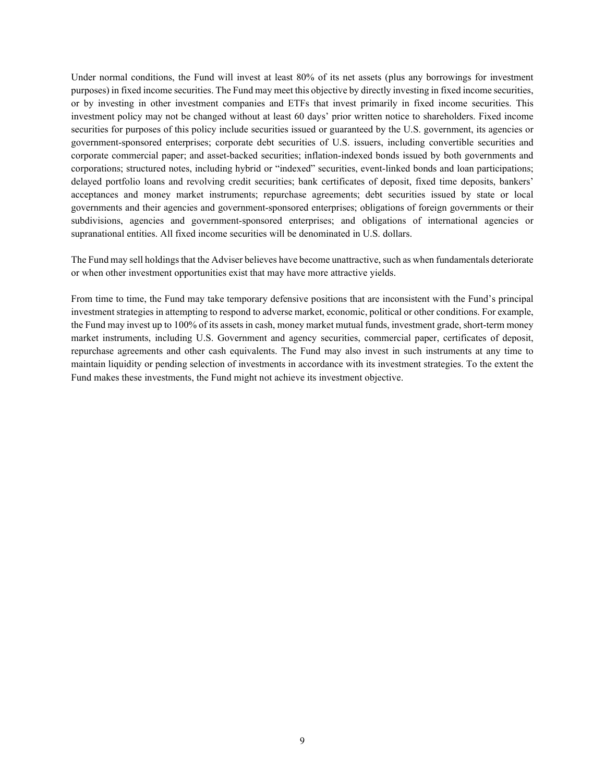Under normal conditions, the Fund will invest at least 80% of its net assets (plus any borrowings for investment purposes) in fixed income securities. The Fund may meet this objective by directly investing in fixed income securities, or by investing in other investment companies and ETFs that invest primarily in fixed income securities. This investment policy may not be changed without at least 60 days' prior written notice to shareholders. Fixed income securities for purposes of this policy include securities issued or guaranteed by the U.S. government, its agencies or government-sponsored enterprises; corporate debt securities of U.S. issuers, including convertible securities and corporate commercial paper; and asset-backed securities; inflation-indexed bonds issued by both governments and corporations; structured notes, including hybrid or "indexed" securities, event-linked bonds and loan participations; delayed portfolio loans and revolving credit securities; bank certificates of deposit, fixed time deposits, bankers' acceptances and money market instruments; repurchase agreements; debt securities issued by state or local governments and their agencies and government-sponsored enterprises; obligations of foreign governments or their subdivisions, agencies and government-sponsored enterprises; and obligations of international agencies or supranational entities. All fixed income securities will be denominated in U.S. dollars.

The Fund may sell holdings that the Adviser believes have become unattractive, such as when fundamentals deteriorate or when other investment opportunities exist that may have more attractive yields.

<span id="page-10-0"></span>From time to time, the Fund may take temporary defensive positions that are inconsistent with the Fund's principal investment strategies in attempting to respond to adverse market, economic, political or other conditions. For example, the Fund may invest up to 100% of its assets in cash, money market mutual funds, investment grade, short-term money market instruments, including U.S. Government and agency securities, commercial paper, certificates of deposit, repurchase agreements and other cash equivalents. The Fund may also invest in such instruments at any time to maintain liquidity or pending selection of investments in accordance with its investment strategies. To the extent the Fund makes these investments, the Fund might not achieve its investment objective.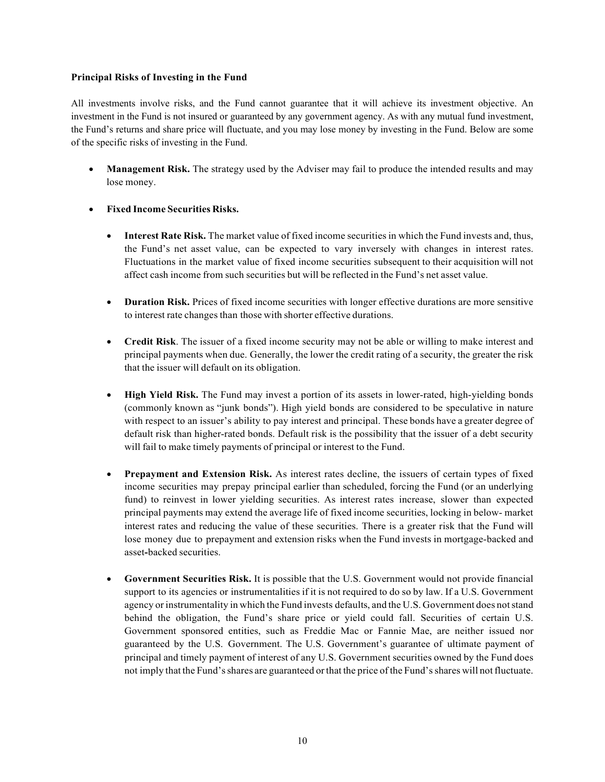## **Principal Risks of Investing in the Fund**

All investments involve risks, and the Fund cannot guarantee that it will achieve its investment objective. An investment in the Fund is not insured or guaranteed by any government agency. As with any mutual fund investment, the Fund's returns and share price will fluctuate, and you may lose money by investing in the Fund. Below are some of the specific risks of investing in the Fund.

- **Management Risk.** The strategy used by the Adviser may fail to produce the intended results and may lose money.
- **Fixed Income Securities Risks.**
	- **Interest Rate Risk.** The market value of fixed income securitiesin which the Fund invests and, thus, the Fund's net asset value, can be expected to vary inversely with changes in interest rates. Fluctuations in the market value of fixed income securities subsequent to their acquisition will not affect cash income from such securities but will be reflected in the Fund's net asset value.
	- **Duration Risk.** Prices of fixed income securities with longer effective durations are more sensitive to interest rate changes than those with shorter effective durations.
	- **Credit Risk**. The issuer of a fixed income security may not be able or willing to make interest and principal payments when due. Generally, the lower the credit rating of a security, the greater the risk that the issuer will default on its obligation.
	- **High Yield Risk.** The Fund may invest a portion of its assets in lower-rated, high-yielding bonds (commonly known as "junk bonds"). High yield bonds are considered to be speculative in nature with respect to an issuer's ability to pay interest and principal. These bonds have a greater degree of default risk than higher-rated bonds. Default risk is the possibility that the issuer of a debt security will fail to make timely payments of principal or interest to the Fund.
	- **Prepayment and Extension Risk.** As interest rates decline, the issuers of certain types of fixed income securities may prepay principal earlier than scheduled, forcing the Fund (or an underlying fund) to reinvest in lower yielding securities. As interest rates increase, slower than expected principal payments may extend the average life of fixed income securities, locking in below- market interest rates and reducing the value of these securities. There is a greater risk that the Fund will lose money due to prepayment and extension risks when the Fund invests in mortgage-backed and asset**-**backed securities.
	- **Government Securities Risk.** It is possible that the U.S. Government would not provide financial support to its agencies or instrumentalities if it is not required to do so by law. If a U.S. Government agency or instrumentality in which the Fund invests defaults, and the U.S. Government does notstand behind the obligation, the Fund's share price or yield could fall. Securities of certain U.S. Government sponsored entities, such as Freddie Mac or Fannie Mae, are neither issued nor guaranteed by the U.S. Government. The U.S. Government's guarantee of ultimate payment of principal and timely payment of interest of any U.S. Government securities owned by the Fund does not imply that the Fund'sshares are guaranteed orthat the price of the Fund'sshares will notfluctuate.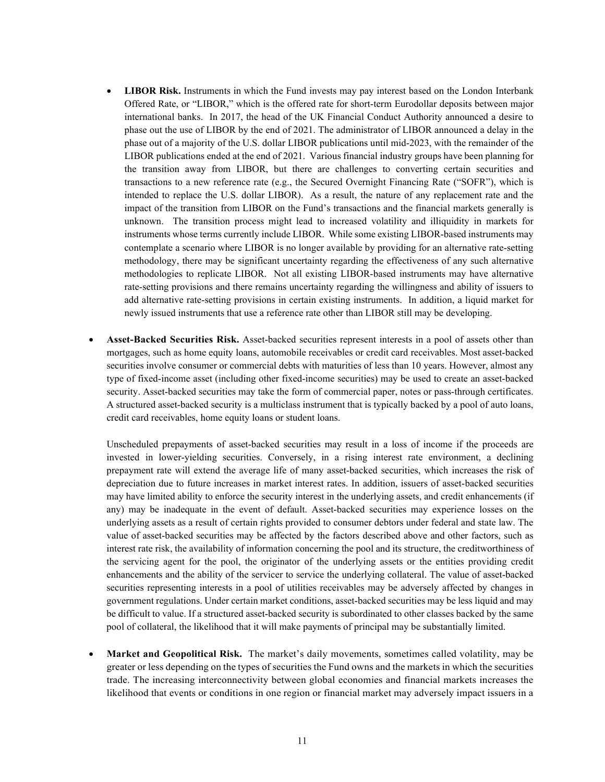- **LIBOR Risk.** Instruments in which the Fund invests may pay interest based on the London Interbank Offered Rate, or "LIBOR," which is the offered rate for short-term Eurodollar deposits between major international banks. In 2017, the head of the UK Financial Conduct Authority announced a desire to phase out the use of LIBOR by the end of 2021. The administrator of LIBOR announced a delay in the phase out of a majority of the U.S. dollar LIBOR publications until mid-2023, with the remainder of the LIBOR publications ended at the end of 2021. Various financial industry groups have been planning for the transition away from LIBOR, but there are challenges to converting certain securities and transactions to a new reference rate (e.g., the Secured Overnight Financing Rate ("SOFR"), which is intended to replace the U.S. dollar LIBOR). As a result, the nature of any replacement rate and the impact of the transition from LIBOR on the Fund's transactions and the financial markets generally is unknown. The transition process might lead to increased volatility and illiquidity in markets for instruments whose terms currently include LIBOR. While some existing LIBOR-based instruments may contemplate a scenario where LIBOR is no longer available by providing for an alternative rate-setting methodology, there may be significant uncertainty regarding the effectiveness of any such alternative methodologies to replicate LIBOR. Not all existing LIBOR-based instruments may have alternative rate-setting provisions and there remains uncertainty regarding the willingness and ability of issuers to add alternative rate-setting provisions in certain existing instruments. In addition, a liquid market for newly issued instruments that use a reference rate other than LIBOR still may be developing.
- **Asset-Backed Securities Risk.** Asset-backed securities represent interests in a pool of assets other than mortgages, such as home equity loans, automobile receivables or credit card receivables. Most asset-backed securities involve consumer or commercial debts with maturities of less than 10 years. However, almost any type of fixed-income asset (including other fixed-income securities) may be used to create an asset-backed security. Asset-backed securities may take the form of commercial paper, notes or pass-through certificates. A structured asset-backed security is a multiclass instrument that is typically backed by a pool of auto loans, credit card receivables, home equity loans or student loans.

Unscheduled prepayments of asset-backed securities may result in a loss of income if the proceeds are invested in lower-yielding securities. Conversely, in a rising interest rate environment, a declining prepayment rate will extend the average life of many asset-backed securities, which increases the risk of depreciation due to future increases in market interest rates. In addition, issuers of asset-backed securities may have limited ability to enforce the security interest in the underlying assets, and credit enhancements (if any) may be inadequate in the event of default. Asset-backed securities may experience losses on the underlying assets as a result of certain rights provided to consumer debtors under federal and state law. The value of asset-backed securities may be affected by the factors described above and other factors, such as interest rate risk, the availability of information concerning the pool and its structure, the creditworthiness of the servicing agent for the pool, the originator of the underlying assets or the entities providing credit enhancements and the ability of the servicer to service the underlying collateral. The value of asset-backed securities representing interests in a pool of utilities receivables may be adversely affected by changes in government regulations. Under certain market conditions, asset-backed securities may be less liquid and may be difficult to value. If a structured asset-backed security is subordinated to other classes backed by the same pool of collateral, the likelihood that it will make payments of principal may be substantially limited.

• **Market and Geopolitical Risk.** The market's daily movements, sometimes called volatility, may be greater or less depending on the types of securities the Fund owns and the markets in which the securities trade. The increasing interconnectivity between global economies and financial markets increases the likelihood that events or conditions in one region or financial market may adversely impact issuers in a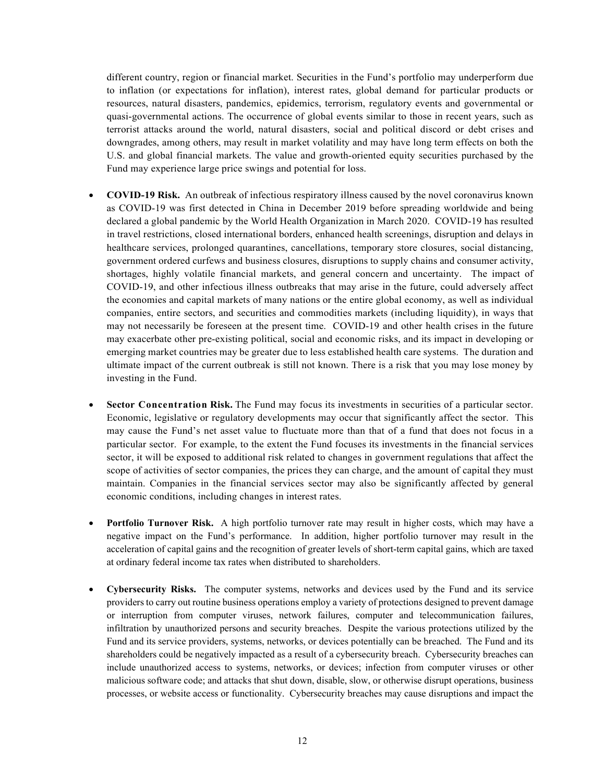different country, region or financial market. Securities in the Fund's portfolio may underperform due to inflation (or expectations for inflation), interest rates, global demand for particular products or resources, natural disasters, pandemics, epidemics, terrorism, regulatory events and governmental or quasi-governmental actions. The occurrence of global events similar to those in recent years, such as terrorist attacks around the world, natural disasters, social and political discord or debt crises and downgrades, among others, may result in market volatility and may have long term effects on both the U.S. and global financial markets. The value and growth-oriented equity securities purchased by the Fund may experience large price swings and potential for loss.

- **COVID-19 Risk.** An outbreak of infectious respiratory illness caused by the novel coronavirus known as COVID-19 was first detected in China in December 2019 before spreading worldwide and being declared a global pandemic by the World Health Organization in March 2020. COVID-19 has resulted in travel restrictions, closed international borders, enhanced health screenings, disruption and delays in healthcare services, prolonged quarantines, cancellations, temporary store closures, social distancing, government ordered curfews and business closures, disruptions to supply chains and consumer activity, shortages, highly volatile financial markets, and general concern and uncertainty. The impact of COVID-19, and other infectious illness outbreaks that may arise in the future, could adversely affect the economies and capital markets of many nations or the entire global economy, as well as individual companies, entire sectors, and securities and commodities markets (including liquidity), in ways that may not necessarily be foreseen at the present time. COVID-19 and other health crises in the future may exacerbate other pre-existing political, social and economic risks, and its impact in developing or emerging market countries may be greater due to less established health care systems. The duration and ultimate impact of the current outbreak is still not known. There is a risk that you may lose money by investing in the Fund.
- **Sector Concentration Risk.** The Fund may focus its investments in securities of a particular sector. Economic, legislative or regulatory developments may occur that significantly affect the sector. This may cause the Fund's net asset value to fluctuate more than that of a fund that does not focus in a particular sector. For example, to the extent the Fund focuses its investments in the financial services sector, it will be exposed to additional risk related to changes in government regulations that affect the scope of activities of sector companies, the prices they can charge, and the amount of capital they must maintain. Companies in the financial services sector may also be significantly affected by general economic conditions, including changes in interest rates.
- **Portfolio Turnover Risk.** A high portfolio turnover rate may result in higher costs, which may have a negative impact on the Fund's performance. In addition, higher portfolio turnover may result in the acceleration of capital gains and the recognition of greater levels of short-term capital gains, which are taxed at ordinary federal income tax rates when distributed to shareholders.
- **Cybersecurity Risks.** The computer systems, networks and devices used by the Fund and its service providers to carry out routine business operations employ a variety of protections designed to prevent damage or interruption from computer viruses, network failures, computer and telecommunication failures, infiltration by unauthorized persons and security breaches. Despite the various protections utilized by the Fund and its service providers, systems, networks, or devices potentially can be breached. The Fund and its shareholders could be negatively impacted as a result of a cybersecurity breach. Cybersecurity breaches can include unauthorized access to systems, networks, or devices; infection from computer viruses or other malicious software code; and attacks that shut down, disable, slow, or otherwise disrupt operations, business processes, or website access or functionality. Cybersecurity breaches may cause disruptions and impact the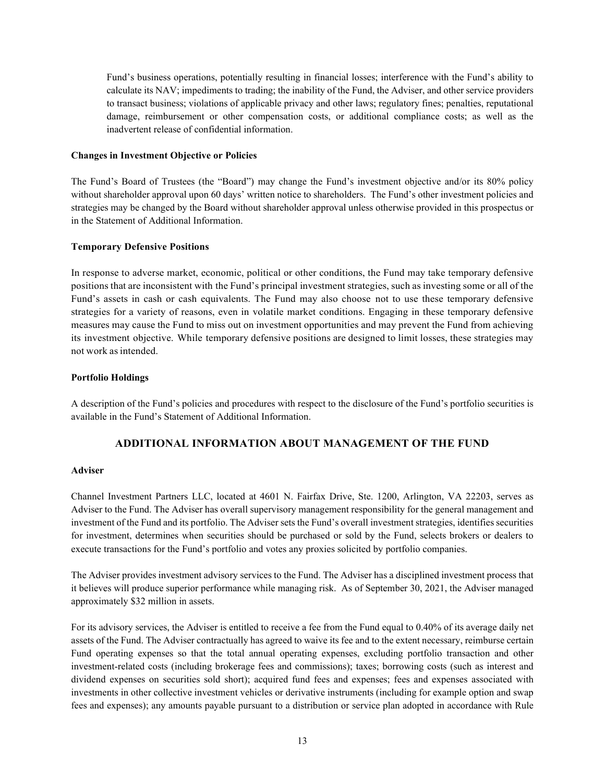Fund's business operations, potentially resulting in financial losses; interference with the Fund's ability to calculate its NAV; impediments to trading; the inability of the Fund, the Adviser, and other service providers to transact business; violations of applicable privacy and other laws; regulatory fines; penalties, reputational damage, reimbursement or other compensation costs, or additional compliance costs; as well as the inadvertent release of confidential information.

#### <span id="page-14-0"></span>**Changes in Investment Objective or Policies**

The Fund's Board of Trustees (the "Board") may change the Fund's investment objective and/or its 80% policy without shareholder approval upon 60 days' written notice to shareholders. The Fund's other investment policies and strategies may be changed by the Board without shareholder approval unless otherwise provided in this prospectus or in the Statement of Additional Information.

## <span id="page-14-1"></span>**Temporary Defensive Positions**

In response to adverse market, economic, political or other conditions, the Fund may take temporary defensive positions that are inconsistent with the Fund's principal investment strategies, such as investing some or all of the Fund's assets in cash or cash equivalents. The Fund may also choose not to use these temporary defensive strategies for a variety of reasons, even in volatile market conditions. Engaging in these temporary defensive measures may cause the Fund to miss out on investment opportunities and may prevent the Fund from achieving its investment objective. While temporary defensive positions are designed to limit losses, these strategies may not work asintended.

#### <span id="page-14-2"></span>**Portfolio Holdings**

A description of the Fund's policies and procedures with respect to the disclosure of the Fund's portfolio securities is available in the Fund's Statement of Additional Information.

## **ADDITIONAL INFORMATION ABOUT MANAGEMENT OF THE FUND**

#### <span id="page-14-4"></span><span id="page-14-3"></span>**Adviser**

Channel Investment Partners LLC, located at 4601 N. Fairfax Drive, Ste. 1200, Arlington, VA 22203, serves as Adviser to the Fund. The Adviser has overall supervisory management responsibility for the general management and investment of the Fund and its portfolio. The Adviser sets the Fund's overall investment strategies, identifies securities for investment, determines when securities should be purchased or sold by the Fund, selects brokers or dealers to execute transactions for the Fund's portfolio and votes any proxies solicited by portfolio companies.

The Adviser provides investment advisory services to the Fund. The Adviser has a disciplined investment process that it believes will produce superior performance while managing risk. As of September 30, 2021, the Adviser managed approximately \$32 million in assets.

For its advisory services, the Adviser is entitled to receive a fee from the Fund equal to 0.40% of its average daily net assets of the Fund. The Adviser contractually has agreed to waive its fee and to the extent necessary, reimburse certain Fund operating expenses so that the total annual operating expenses, excluding portfolio transaction and other investment-related costs (including brokerage fees and commissions); taxes; borrowing costs (such as interest and dividend expenses on securities sold short); acquired fund fees and expenses; fees and expenses associated with investments in other collective investment vehicles or derivative instruments (including for example option and swap fees and expenses); any amounts payable pursuant to a distribution or service plan adopted in accordance with Rule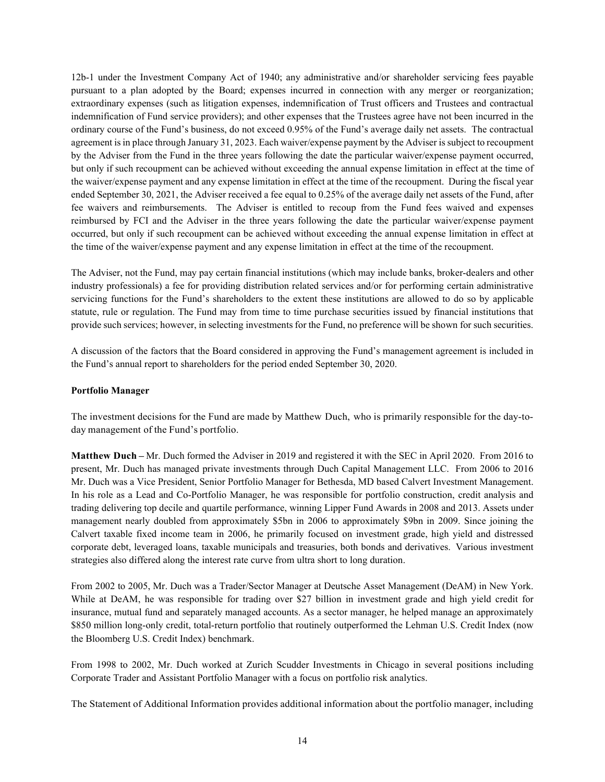12b-1 under the Investment Company Act of 1940; any administrative and/or shareholder servicing fees payable pursuant to a plan adopted by the Board; expenses incurred in connection with any merger or reorganization; extraordinary expenses (such as litigation expenses, indemnification of Trust officers and Trustees and contractual indemnification of Fund service providers); and other expenses that the Trustees agree have not been incurred in the ordinary course of the Fund's business, do not exceed 0.95% of the Fund's average daily net assets. The contractual agreement is in place through January 31, 2023. Each waiver/expense payment by the Adviser is subject to recoupment by the Adviser from the Fund in the three years following the date the particular waiver/expense payment occurred, but only if such recoupment can be achieved without exceeding the annual expense limitation in effect at the time of the waiver/expense payment and any expense limitation in effect at the time of the recoupment. During the fiscal year ended September 30, 2021, the Adviser received a fee equal to 0.25% of the average daily net assets of the Fund, after fee waivers and reimbursements. The Adviser is entitled to recoup from the Fund fees waived and expenses reimbursed by FCI and the Adviser in the three years following the date the particular waiver/expense payment occurred, but only if such recoupment can be achieved without exceeding the annual expense limitation in effect at the time of the waiver/expense payment and any expense limitation in effect at the time of the recoupment.

The Adviser, not the Fund, may pay certain financial institutions (which may include banks, broker-dealers and other industry professionals) a fee for providing distribution related services and/or for performing certain administrative servicing functions for the Fund's shareholders to the extent these institutions are allowed to do so by applicable statute, rule or regulation. The Fund may from time to time purchase securities issued by financial institutions that provide such services; however, in selecting investments for the Fund, no preference will be shown for such securities.

A discussion of the factors that the Board considered in approving the Fund's management agreement is included in the Fund's annual report to shareholders for the period ended September 30, 2020.

## <span id="page-15-0"></span>**Portfolio Manager**

The investment decisions for the Fund are made by Matthew Duch, who is primarily responsible for the day-today management of the Fund's portfolio.

**Matthew Duch –** Mr. Duch formed the Adviser in 2019 and registered it with the SEC in April 2020. From 2016 to present, Mr. Duch has managed private investments through Duch Capital Management LLC. From 2006 to 2016 Mr. Duch was a Vice President, Senior Portfolio Manager for Bethesda, MD based Calvert Investment Management. In his role as a Lead and Co-Portfolio Manager, he was responsible for portfolio construction, credit analysis and trading delivering top decile and quartile performance, winning Lipper Fund Awards in 2008 and 2013. Assets under management nearly doubled from approximately \$5bn in 2006 to approximately \$9bn in 2009. Since joining the Calvert taxable fixed income team in 2006, he primarily focused on investment grade, high yield and distressed corporate debt, leveraged loans, taxable municipals and treasuries, both bonds and derivatives. Various investment strategies also differed along the interest rate curve from ultra short to long duration.

From 2002 to 2005, Mr. Duch was a Trader/Sector Manager at Deutsche Asset Management (DeAM) in New York. While at DeAM, he was responsible for trading over \$27 billion in investment grade and high yield credit for insurance, mutual fund and separately managed accounts. As a sector manager, he helped manage an approximately \$850 million long-only credit, total-return portfolio that routinely outperformed the Lehman U.S. Credit Index (now the Bloomberg U.S. Credit Index) benchmark.

From 1998 to 2002, Mr. Duch worked at Zurich Scudder Investments in Chicago in several positions including Corporate Trader and Assistant Portfolio Manager with a focus on portfolio risk analytics.

The Statement of Additional Information provides additional information about the portfolio manager, including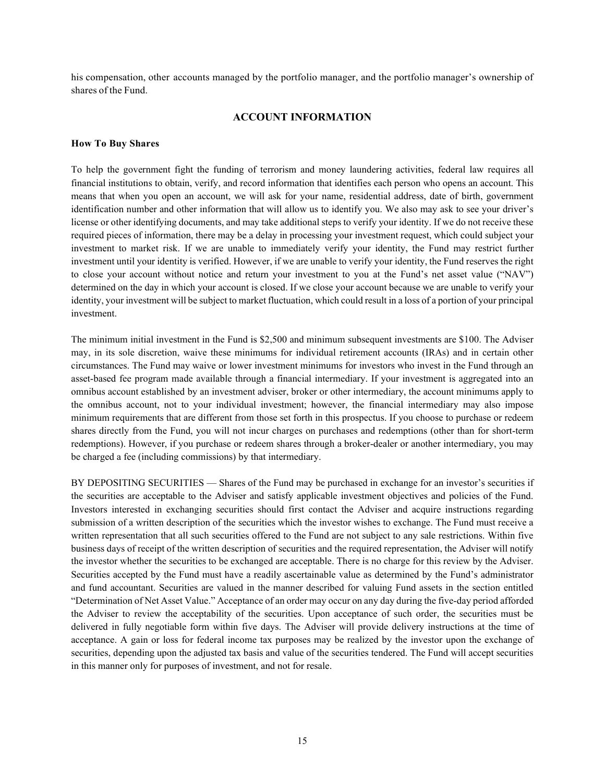his compensation, other accounts managed by the portfolio manager, and the portfolio manager's ownership of shares of the Fund.

# **ACCOUNT INFORMATION**

#### <span id="page-16-1"></span><span id="page-16-0"></span>**How To Buy Shares**

To help the government fight the funding of terrorism and money laundering activities, federal law requires all financial institutions to obtain, verify, and record information that identifies each person who opens an account. This means that when you open an account, we will ask for your name, residential address, date of birth, government identification number and other information that will allow us to identify you. We also may ask to see your driver's license or other identifying documents, and may take additional steps to verify your identity. If we do not receive these required pieces of information, there may be a delay in processing your investment request, which could subject your investment to market risk. If we are unable to immediately verify your identity, the Fund may restrict further investment until your identity is verified. However, if we are unable to verify your identity, the Fund reserves the right to close your account without notice and return your investment to you at the Fund's net asset value ("NAV") determined on the day in which your account is closed. If we close your account because we are unable to verify your identity, your investment will be subject to market fluctuation, which could result in a loss of a portion of your principal investment.

The minimum initial investment in the Fund is \$2,500 and minimum subsequent investments are \$100. The Adviser may, in its sole discretion, waive these minimums for individual retirement accounts (IRAs) and in certain other circumstances. The Fund may waive or lower investment minimums for investors who invest in the Fund through an asset-based fee program made available through a financial intermediary. If your investment is aggregated into an omnibus account established by an investment adviser, broker or other intermediary, the account minimums apply to the omnibus account, not to your individual investment; however, the financial intermediary may also impose minimum requirements that are different from those set forth in this prospectus. If you choose to purchase or redeem shares directly from the Fund, you will not incur charges on purchases and redemptions (other than for short-term redemptions). However, if you purchase or redeem shares through a broker-dealer or another intermediary, you may be charged a fee (including commissions) by that intermediary.

BY DEPOSITING SECURITIES — Shares of the Fund may be purchased in exchange for an investor's securities if the securities are acceptable to the Adviser and satisfy applicable investment objectives and policies of the Fund. Investors interested in exchanging securities should first contact the Adviser and acquire instructions regarding submission of a written description of the securities which the investor wishes to exchange. The Fund must receive a written representation that all such securities offered to the Fund are not subject to any sale restrictions. Within five business days of receipt of the written description of securities and the required representation, the Adviser will notify the investor whether the securities to be exchanged are acceptable. There is no charge for this review by the Adviser. Securities accepted by the Fund must have a readily ascertainable value as determined by the Fund's administrator and fund accountant. Securities are valued in the manner described for valuing Fund assets in the section entitled "Determination of Net Asset Value." Acceptance of an order may occur on any day during the five-day period afforded the Adviser to review the acceptability of the securities. Upon acceptance of such order, the securities must be delivered in fully negotiable form within five days. The Adviser will provide delivery instructions at the time of acceptance. A gain or loss for federal income tax purposes may be realized by the investor upon the exchange of securities, depending upon the adjusted tax basis and value of the securities tendered. The Fund will accept securities in this manner only for purposes of investment, and not for resale.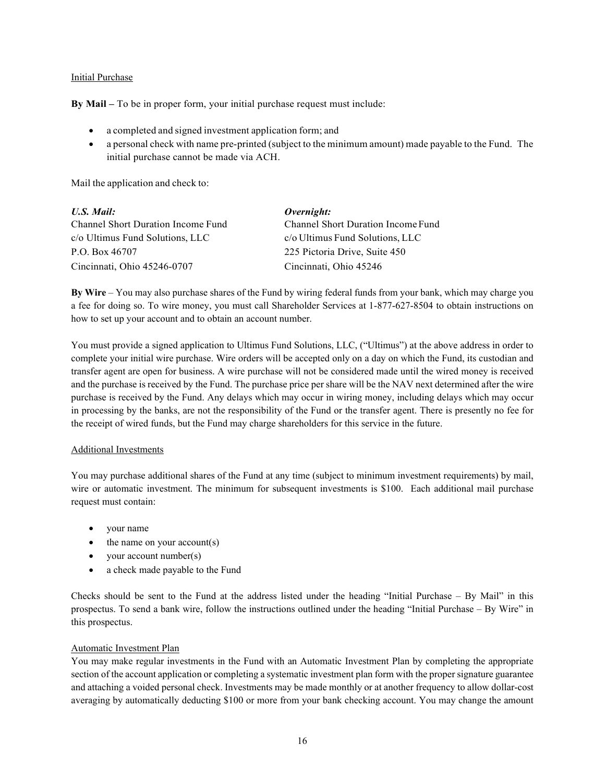## Initial Purchase

**By Mail –** To be in proper form, your initial purchase request must include:

- a completed and signed investment application form; and
- a personal check with name pre-printed (subject to the minimum amount) made payable to the Fund. The initial purchase cannot be made via ACH.

Mail the application and check to:

| U.S. Mail:                         | Overnight:                         |
|------------------------------------|------------------------------------|
| Channel Short Duration Income Fund | Channel Short Duration Income Fund |
| c/o Ultimus Fund Solutions, LLC    | c/o Ultimus Fund Solutions, LLC    |
| P.O. Box 46707                     | 225 Pictoria Drive, Suite 450      |
| Cincinnati, Ohio 45246-0707        | Cincinnati, Ohio 45246             |

**By Wire** – You may also purchase shares of the Fund by wiring federal funds from your bank, which may charge you a fee for doing so. To wire money, you must call Shareholder Services at 1-877-627-8504 to obtain instructions on how to set up your account and to obtain an account number.

You must provide a signed application to Ultimus Fund Solutions, LLC, ("Ultimus") at the above address in order to complete your initial wire purchase. Wire orders will be accepted only on a day on which the Fund, its custodian and transfer agent are open for business. A wire purchase will not be considered made until the wired money is received and the purchase is received by the Fund. The purchase price per share will be the NAV next determined after the wire purchase is received by the Fund. Any delays which may occur in wiring money, including delays which may occur in processing by the banks, are not the responsibility of the Fund or the transfer agent. There is presently no fee for the receipt of wired funds, but the Fund may charge shareholders for this service in the future.

#### Additional Investments

You may purchase additional shares of the Fund at any time (subject to minimum investment requirements) by mail, wire or automatic investment. The minimum for subsequent investments is \$100. Each additional mail purchase request must contain:

- your name
- $\bullet$  the name on your account(s)
- your account number(s)
- a check made payable to the Fund

Checks should be sent to the Fund at the address listed under the heading "Initial Purchase – By Mail" in this prospectus. To send a bank wire, follow the instructions outlined under the heading "Initial Purchase – By Wire" in this prospectus.

## Automatic Investment Plan

You may make regular investments in the Fund with an Automatic Investment Plan by completing the appropriate section of the account application or completing a systematic investment plan form with the proper signature guarantee and attaching a voided personal check. Investments may be made monthly or at another frequency to allow dollar-cost averaging by automatically deducting \$100 or more from your bank checking account. You may change the amount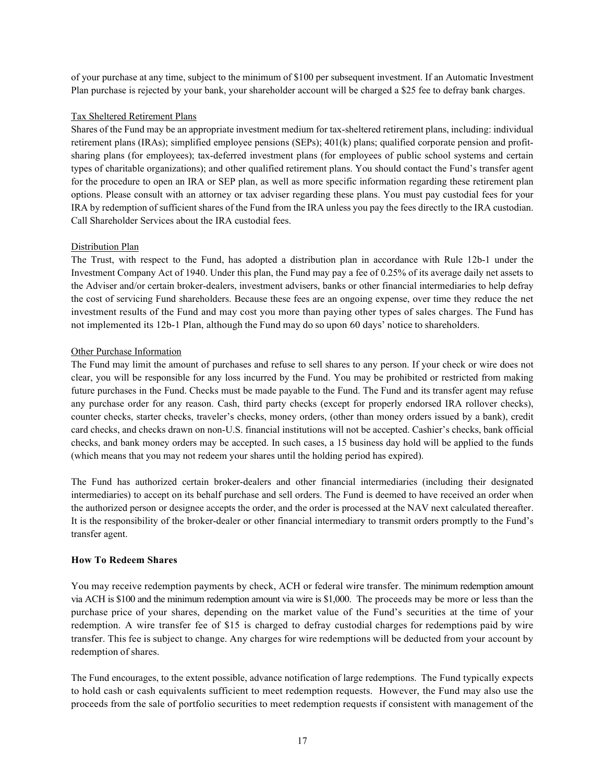of your purchase at any time, subject to the minimum of \$100 per subsequent investment. If an Automatic Investment Plan purchase is rejected by your bank, your shareholder account will be charged a \$25 fee to defray bank charges.

# Tax Sheltered Retirement Plans

Shares of the Fund may be an appropriate investment medium for tax-sheltered retirement plans, including: individual retirement plans (IRAs); simplified employee pensions (SEPs); 401(k) plans; qualified corporate pension and profitsharing plans (for employees); tax-deferred investment plans (for employees of public school systems and certain types of charitable organizations); and other qualified retirement plans. You should contact the Fund's transfer agent for the procedure to open an IRA or SEP plan, as well as more specific information regarding these retirement plan options. Please consult with an attorney or tax adviser regarding these plans. You must pay custodial fees for your IRA by redemption of sufficient shares of the Fund from the IRA unless you pay the fees directly to the IRA custodian. Call Shareholder Services about the IRA custodial fees.

# Distribution Plan

The Trust, with respect to the Fund, has adopted a distribution plan in accordance with Rule 12b-1 under the Investment Company Act of 1940. Under this plan, the Fund may pay a fee of 0.25% of its average daily net assets to the Adviser and/or certain broker-dealers, investment advisers, banks or other financial intermediaries to help defray the cost of servicing Fund shareholders. Because these fees are an ongoing expense, over time they reduce the net investment results of the Fund and may cost you more than paying other types of sales charges. The Fund has not implemented its 12b-1 Plan, although the Fund may do so upon 60 days' notice to shareholders.

## Other Purchase Information

The Fund may limit the amount of purchases and refuse to sell shares to any person. If your check or wire does not clear, you will be responsible for any loss incurred by the Fund. You may be prohibited or restricted from making future purchases in the Fund. Checks must be made payable to the Fund. The Fund and its transfer agent may refuse any purchase order for any reason. Cash, third party checks (except for properly endorsed IRA rollover checks), counter checks, starter checks, traveler's checks, money orders, (other than money orders issued by a bank), credit card checks, and checks drawn on non-U.S. financial institutions will not be accepted. Cashier's checks, bank official checks, and bank money orders may be accepted. In such cases, a 15 business day hold will be applied to the funds (which means that you may not redeem your shares until the holding period has expired).

The Fund has authorized certain broker-dealers and other financial intermediaries (including their designated intermediaries) to accept on its behalf purchase and sell orders. The Fund is deemed to have received an order when the authorized person or designee accepts the order, and the order is processed at the NAV next calculated thereafter. It is the responsibility of the broker-dealer or other financial intermediary to transmit orders promptly to the Fund's transfer agent.

## <span id="page-18-0"></span>**How To Redeem Shares**

You may receive redemption payments by check, ACH or federal wire transfer. The minimum redemption amount via ACH is \$100 and the minimum redemption amount via wire is \$1,000. The proceeds may be more or less than the purchase price of your shares, depending on the market value of the Fund's securities at the time of your redemption. A wire transfer fee of \$15 is charged to defray custodial charges for redemptions paid by wire transfer. This fee is subject to change. Any charges for wire redemptions will be deducted from your account by redemption of shares.

The Fund encourages, to the extent possible, advance notification of large redemptions. The Fund typically expects to hold cash or cash equivalents sufficient to meet redemption requests. However, the Fund may also use the proceeds from the sale of portfolio securities to meet redemption requests if consistent with management of the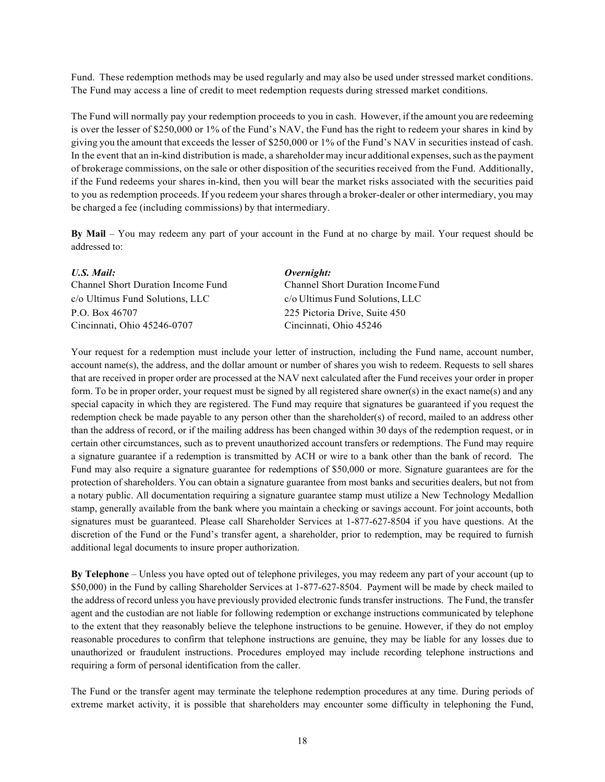Fund. These redemption methods may be used regularly and may also be used under stressed market conditions. The Fund may access a line of credit to meet redemption requests during stressed market conditions.

The Fund will normally pay your redemption proceeds to you in cash. However, if the amount you are redeeming is over the lesser of \$250,000 or 1% of the Fund's NAV, the Fund has the right to redeem your shares in kind by giving you the amount that exceeds the lesser of \$250,000 or 1% of the Fund's NAV in securities instead of cash. In the event that an in-kind distribution is made, a shareholder may incur additional expenses, such as the payment of brokerage commissions, on the sale or other disposition of the securities received from the Fund. Additionally, if the Fund redeems your shares in-kind, then you will bear the market risks associated with the securities paid to you as redemption proceeds. If you redeem your shares through a broker-dealer or other intermediary, you may be charged a fee (including commissions) by that intermediary.

**By Mail** – You may redeem any part of your account in the Fund at no charge by mail. Your request should be addressed to:

| U.S. Mail:                         | Overnight:                         |
|------------------------------------|------------------------------------|
| Channel Short Duration Income Fund | Channel Short Duration Income Fund |
| c/o Ultimus Fund Solutions, LLC    | c/o Ultimus Fund Solutions, LLC    |
| P.O. Box 46707                     | 225 Pictoria Drive, Suite 450      |
| Cincinnati, Ohio 45246-0707        | Cincinnati, Ohio 45246             |

Your request for a redemption must include your letter of instruction, including the Fund name, account number, account name(s), the address, and the dollar amount or number of shares you wish to redeem. Requests to sell shares that are received in proper order are processed at the NAV next calculated after the Fund receives your order in proper form. To be in proper order, your request must be signed by all registered share owner(s) in the exact name(s) and any special capacity in which they are registered. The Fund may require that signatures be guaranteed if you request the redemption check be made payable to any person other than the shareholder(s) of record, mailed to an address other than the address of record, or if the mailing address has been changed within 30 days of the redemption request, or in certain other circumstances, such as to prevent unauthorized account transfers or redemptions. The Fund may require a signature guarantee if a redemption is transmitted by ACH or wire to a bank other than the bank of record. The Fund may also require a signature guarantee for redemptions of \$50,000 or more. Signature guarantees are for the protection of shareholders. You can obtain a signature guarantee from most banks and securities dealers, but not from a notary public. All documentation requiring a signature guarantee stamp must utilize a New Technology Medallion stamp, generally available from the bank where you maintain a checking or savings account. For joint accounts, both signatures must be guaranteed. Please call Shareholder Services at 1-877-627-8504 if you have questions. At the discretion of the Fund or the Fund's transfer agent, a shareholder, prior to redemption, may be required to furnish additional legal documents to insure proper authorization.

**By Telephone** – Unless you have opted out of telephone privileges, you may redeem any part of your account (up to \$50,000) in the Fund by calling Shareholder Services at 1-877-627-8504. Payment will be made by check mailed to the address of record unless you have previously provided electronic funds transfer instructions. The Fund, the transfer agent and the custodian are not liable for following redemption or exchange instructions communicated by telephone to the extent that they reasonably believe the telephone instructions to be genuine. However, if they do not employ reasonable procedures to confirm that telephone instructions are genuine, they may be liable for any losses due to unauthorized or fraudulent instructions. Procedures employed may include recording telephone instructions and requiring a form of personal identification from the caller.

The Fund or the transfer agent may terminate the telephone redemption procedures at any time. During periods of extreme market activity, it is possible that shareholders may encounter some difficulty in telephoning the Fund,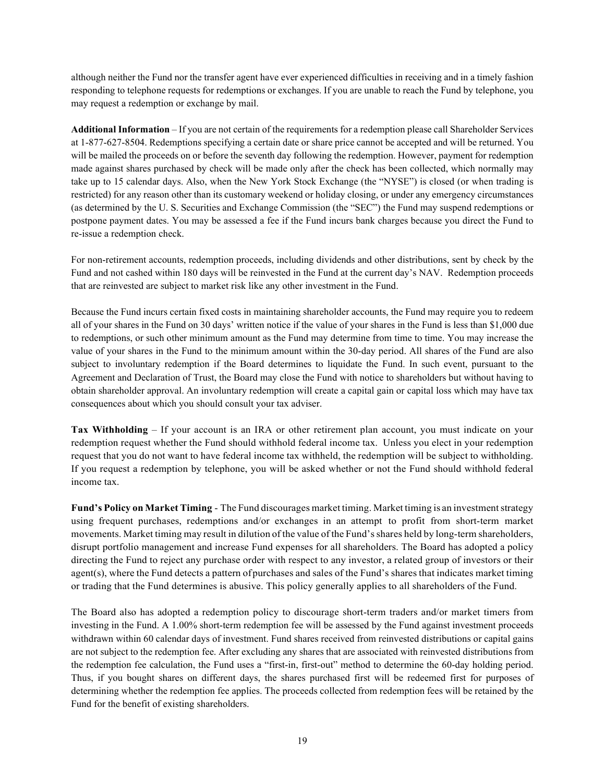although neither the Fund nor the transfer agent have ever experienced difficulties in receiving and in a timely fashion responding to telephone requests for redemptions or exchanges. If you are unable to reach the Fund by telephone, you may request a redemption or exchange by mail.

**Additional Information** – If you are not certain of the requirements for a redemption please call Shareholder Services at 1-877-627-8504. Redemptions specifying a certain date or share price cannot be accepted and will be returned. You will be mailed the proceeds on or before the seventh day following the redemption. However, payment for redemption made against shares purchased by check will be made only after the check has been collected, which normally may take up to 15 calendar days. Also, when the New York Stock Exchange (the "NYSE") is closed (or when trading is restricted) for any reason other than its customary weekend or holiday closing, or under any emergency circumstances (as determined by the U. S. Securities and Exchange Commission (the "SEC") the Fund may suspend redemptions or postpone payment dates. You may be assessed a fee if the Fund incurs bank charges because you direct the Fund to re-issue a redemption check.

For non-retirement accounts, redemption proceeds, including dividends and other distributions, sent by check by the Fund and not cashed within 180 days will be reinvested in the Fund at the current day's NAV. Redemption proceeds that are reinvested are subject to market risk like any other investment in the Fund.

Because the Fund incurs certain fixed costs in maintaining shareholder accounts, the Fund may require you to redeem all of your shares in the Fund on 30 days' written notice if the value of your shares in the Fund is less than \$1,000 due to redemptions, or such other minimum amount as the Fund may determine from time to time. You may increase the value of your shares in the Fund to the minimum amount within the 30-day period. All shares of the Fund are also subject to involuntary redemption if the Board determines to liquidate the Fund. In such event, pursuant to the Agreement and Declaration of Trust, the Board may close the Fund with notice to shareholders but without having to obtain shareholder approval. An involuntary redemption will create a capital gain or capital loss which may have tax consequences about which you should consult your tax adviser.

**Tax Withholding** – If your account is an IRA or other retirement plan account, you must indicate on your redemption request whether the Fund should withhold federal income tax. Unless you elect in your redemption request that you do not want to have federal income tax withheld, the redemption will be subject to withholding. If you request a redemption by telephone, you will be asked whether or not the Fund should withhold federal income tax.

**Fund's Policy on Market Timing** - The Fund discourages market timing. Market timing is an investmentstrategy using frequent purchases, redemptions and/or exchanges in an attempt to profit from short-term market movements. Market timing may result in dilution of the value of the Fund'sshares held by long-term shareholders, disrupt portfolio management and increase Fund expenses for all shareholders. The Board has adopted a policy directing the Fund to reject any purchase order with respect to any investor, a related group of investors or their agent(s), where the Fund detects a pattern ofpurchases and sales of the Fund's shares that indicates market timing or trading that the Fund determines is abusive. This policy generally applies to all shareholders of the Fund.

The Board also has adopted a redemption policy to discourage short-term traders and/or market timers from investing in the Fund. A 1.00% short-term redemption fee will be assessed by the Fund against investment proceeds withdrawn within 60 calendar days of investment. Fund shares received from reinvested distributions or capital gains are not subject to the redemption fee. After excluding any shares that are associated with reinvested distributions from the redemption fee calculation, the Fund uses a "first-in, first-out" method to determine the 60-day holding period. Thus, if you bought shares on different days, the shares purchased first will be redeemed first for purposes of determining whether the redemption fee applies. The proceeds collected from redemption fees will be retained by the Fund for the benefit of existing shareholders.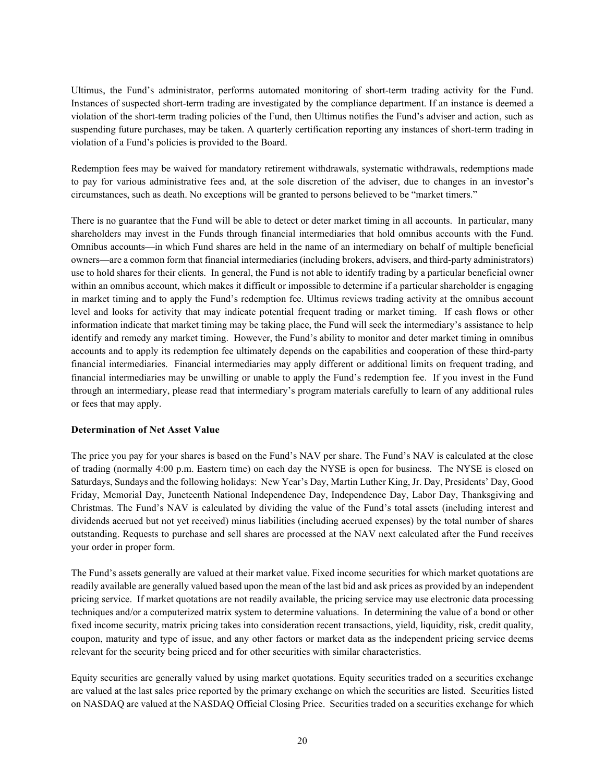Ultimus, the Fund's administrator, performs automated monitoring of short-term trading activity for the Fund. Instances of suspected short-term trading are investigated by the compliance department. If an instance is deemed a violation of the short-term trading policies of the Fund, then Ultimus notifies the Fund's adviser and action, such as suspending future purchases, may be taken. A quarterly certification reporting any instances of short-term trading in violation of a Fund's policies is provided to the Board.

Redemption fees may be waived for mandatory retirement withdrawals, systematic withdrawals, redemptions made to pay for various administrative fees and, at the sole discretion of the adviser, due to changes in an investor's circumstances, such as death. No exceptions will be granted to persons believed to be "market timers."

There is no guarantee that the Fund will be able to detect or deter market timing in all accounts. In particular, many shareholders may invest in the Funds through financial intermediaries that hold omnibus accounts with the Fund. Omnibus accounts—in which Fund shares are held in the name of an intermediary on behalf of multiple beneficial owners—are a common form that financial intermediaries (including brokers, advisers, and third-party administrators) use to hold shares for their clients. In general, the Fund is not able to identify trading by a particular beneficial owner within an omnibus account, which makes it difficult or impossible to determine if a particular shareholder is engaging in market timing and to apply the Fund's redemption fee. Ultimus reviews trading activity at the omnibus account level and looks for activity that may indicate potential frequent trading or market timing. If cash flows or other information indicate that market timing may be taking place, the Fund will seek the intermediary's assistance to help identify and remedy any market timing. However, the Fund's ability to monitor and deter market timing in omnibus accounts and to apply its redemption fee ultimately depends on the capabilities and cooperation of these third-party financial intermediaries. Financial intermediaries may apply different or additional limits on frequent trading, and financial intermediaries may be unwilling or unable to apply the Fund's redemption fee. If you invest in the Fund through an intermediary, please read that intermediary's program materials carefully to learn of any additional rules or fees that may apply.

## <span id="page-21-0"></span>**Determination of Net Asset Value**

The price you pay for your shares is based on the Fund's NAV per share. The Fund's NAV is calculated at the close of trading (normally 4:00 p.m. Eastern time) on each day the NYSE is open for business. The NYSE is closed on Saturdays, Sundays and the following holidays: New Year's Day, Martin Luther King, Jr. Day, Presidents' Day, Good Friday, Memorial Day, Juneteenth National Independence Day, Independence Day, Labor Day, Thanksgiving and Christmas. The Fund's NAV is calculated by dividing the value of the Fund's total assets (including interest and dividends accrued but not yet received) minus liabilities (including accrued expenses) by the total number of shares outstanding. Requests to purchase and sell shares are processed at the NAV next calculated after the Fund receives your order in proper form.

The Fund's assets generally are valued at their market value. Fixed income securities for which market quotations are readily available are generally valued based upon the mean of the last bid and ask prices as provided by an independent pricing service. If market quotations are not readily available, the pricing service may use electronic data processing techniques and/or a computerized matrix system to determine valuations. In determining the value of a bond or other fixed income security, matrix pricing takes into consideration recent transactions, yield, liquidity, risk, credit quality, coupon, maturity and type of issue, and any other factors or market data as the independent pricing service deems relevant for the security being priced and for other securities with similar characteristics.

Equity securities are generally valued by using market quotations. Equity securities traded on a securities exchange are valued at the last sales price reported by the primary exchange on which the securities are listed. Securities listed on NASDAQ are valued at the NASDAQ Official Closing Price. Securities traded on a securities exchange for which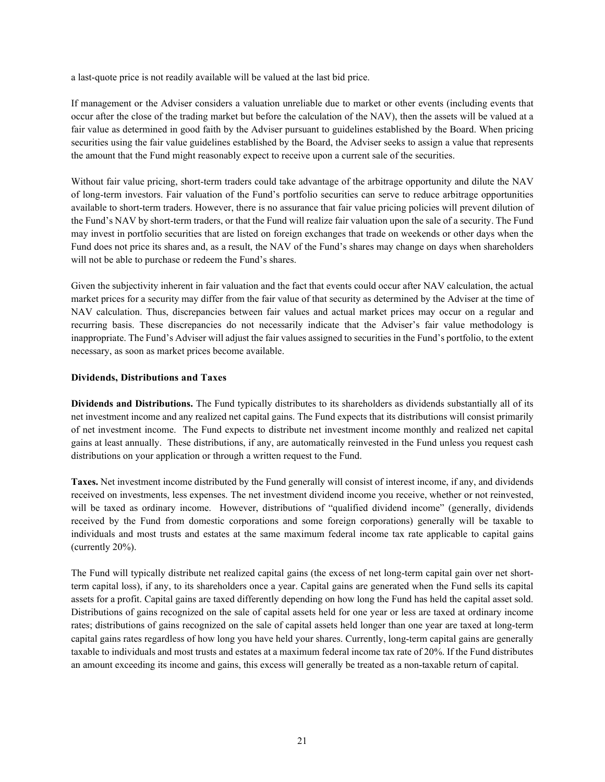a last-quote price is not readily available will be valued at the last bid price.

If management or the Adviser considers a valuation unreliable due to market or other events (including events that occur after the close of the trading market but before the calculation of the NAV), then the assets will be valued at a fair value as determined in good faith by the Adviser pursuant to guidelines established by the Board. When pricing securities using the fair value guidelines established by the Board, the Adviser seeks to assign a value that represents the amount that the Fund might reasonably expect to receive upon a current sale of the securities.

Without fair value pricing, short-term traders could take advantage of the arbitrage opportunity and dilute the NAV of long-term investors. Fair valuation of the Fund's portfolio securities can serve to reduce arbitrage opportunities available to short-term traders. However, there is no assurance that fair value pricing policies will prevent dilution of the Fund's NAV by short-term traders, or that the Fund will realize fair valuation upon the sale of a security. The Fund may invest in portfolio securities that are listed on foreign exchanges that trade on weekends or other days when the Fund does not price its shares and, as a result, the NAV of the Fund's shares may change on days when shareholders will not be able to purchase or redeem the Fund's shares.

Given the subjectivity inherent in fair valuation and the fact that events could occur after NAV calculation, the actual market prices for a security may differ from the fair value of that security as determined by the Adviser at the time of NAV calculation. Thus, discrepancies between fair values and actual market prices may occur on a regular and recurring basis. These discrepancies do not necessarily indicate that the Adviser's fair value methodology is inappropriate. The Fund's Adviser will adjust the fair values assigned to securities in the Fund's portfolio, to the extent necessary, as soon as market prices become available.

## <span id="page-22-0"></span>**Dividends, Distributions and Taxes**

**Dividends and Distributions.** The Fund typically distributes to its shareholders as dividends substantially all of its net investment income and any realized net capital gains. The Fund expects that its distributions will consist primarily of net investment income. The Fund expects to distribute net investment income monthly and realized net capital gains at least annually. These distributions, if any, are automatically reinvested in the Fund unless you request cash distributions on your application or through a written request to the Fund.

**Taxes.** Net investment income distributed by the Fund generally will consist of interest income, if any, and dividends received on investments, less expenses. The net investment dividend income you receive, whether or not reinvested, will be taxed as ordinary income. However, distributions of "qualified dividend income" (generally, dividends received by the Fund from domestic corporations and some foreign corporations) generally will be taxable to individuals and most trusts and estates at the same maximum federal income tax rate applicable to capital gains (currently 20%).

The Fund will typically distribute net realized capital gains (the excess of net long-term capital gain over net shortterm capital loss), if any, to its shareholders once a year. Capital gains are generated when the Fund sells its capital assets for a profit. Capital gains are taxed differently depending on how long the Fund has held the capital asset sold. Distributions of gains recognized on the sale of capital assets held for one year or less are taxed at ordinary income rates; distributions of gains recognized on the sale of capital assets held longer than one year are taxed at long-term capital gains rates regardless of how long you have held your shares. Currently, long-term capital gains are generally taxable to individuals and most trusts and estates at a maximum federal income tax rate of 20%. If the Fund distributes an amount exceeding its income and gains, this excess will generally be treated as a non-taxable return of capital.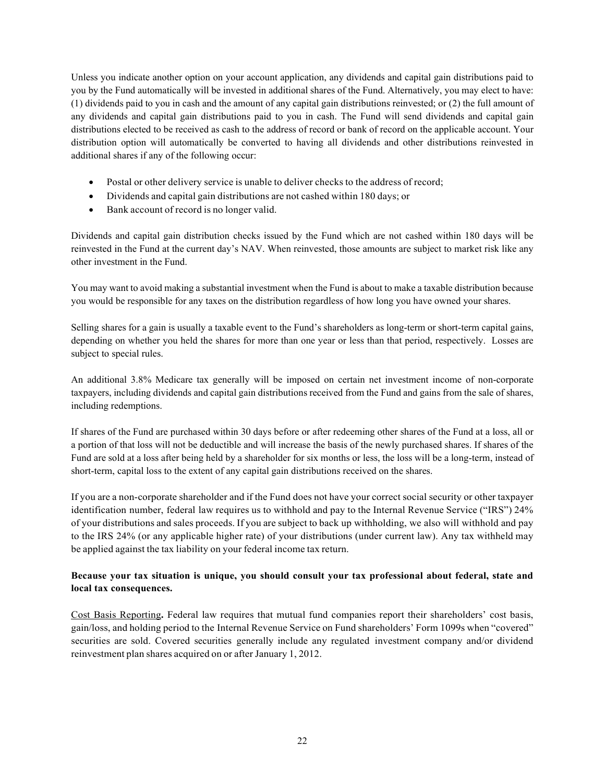Unless you indicate another option on your account application, any dividends and capital gain distributions paid to you by the Fund automatically will be invested in additional shares of the Fund. Alternatively, you may elect to have: (1) dividends paid to you in cash and the amount of any capital gain distributions reinvested; or (2) the full amount of any dividends and capital gain distributions paid to you in cash. The Fund will send dividends and capital gain distributions elected to be received as cash to the address of record or bank of record on the applicable account. Your distribution option will automatically be converted to having all dividends and other distributions reinvested in additional shares if any of the following occur:

- Postal or other delivery service is unable to deliver checks to the address of record;
- Dividends and capital gain distributions are not cashed within 180 days; or
- Bank account of record is no longer valid.

Dividends and capital gain distribution checks issued by the Fund which are not cashed within 180 days will be reinvested in the Fund at the current day's NAV. When reinvested, those amounts are subject to market risk like any other investment in the Fund.

You may want to avoid making a substantial investment when the Fund is about to make a taxable distribution because you would be responsible for any taxes on the distribution regardless of how long you have owned your shares.

Selling shares for a gain is usually a taxable event to the Fund's shareholders as long-term or short-term capital gains, depending on whether you held the shares for more than one year or less than that period, respectively. Losses are subject to special rules.

An additional 3.8% Medicare tax generally will be imposed on certain net investment income of non-corporate taxpayers, including dividends and capital gain distributions received from the Fund and gains from the sale of shares, including redemptions.

If shares of the Fund are purchased within 30 days before or after redeeming other shares of the Fund at a loss, all or a portion of that loss will not be deductible and will increase the basis of the newly purchased shares. If shares of the Fund are sold at a loss after being held by a shareholder for six months or less, the loss will be a long-term, instead of short-term, capital loss to the extent of any capital gain distributions received on the shares.

If you are a non-corporate shareholder and if the Fund does not have your correct social security or other taxpayer identification number, federal law requires us to withhold and pay to the Internal Revenue Service ("IRS") 24% of your distributions and sales proceeds. If you are subject to back up withholding, we also will withhold and pay to the IRS 24% (or any applicable higher rate) of your distributions (under current law). Any tax withheld may be applied against the tax liability on your federal income tax return.

# **Because your tax situation is unique, you should consult your tax professional about federal, state and local tax consequences.**

Cost Basis Reporting**.** Federal law requires that mutual fund companies report their shareholders' cost basis, gain/loss, and holding period to the Internal Revenue Service on Fund shareholders' Form 1099s when "covered" securities are sold. Covered securities generally include any regulated investment company and/or dividend reinvestment plan shares acquired on or after January 1, 2012.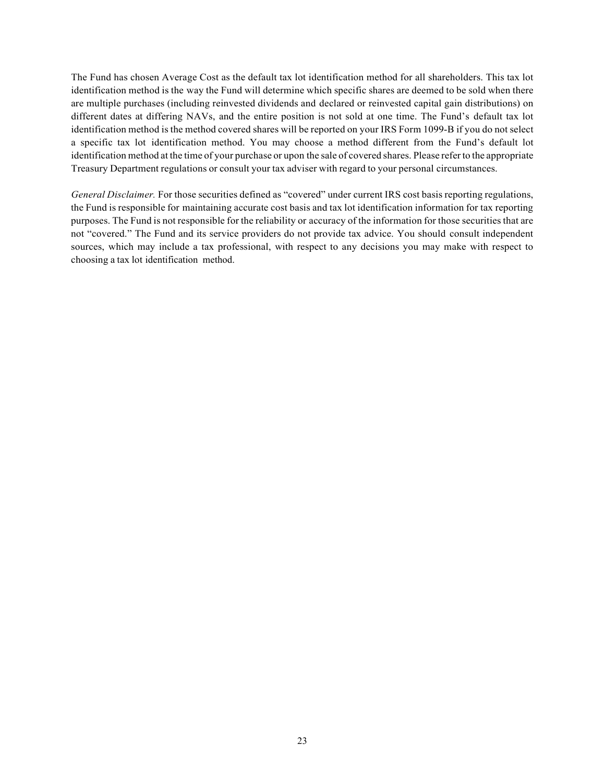The Fund has chosen Average Cost as the default tax lot identification method for all shareholders. This tax lot identification method is the way the Fund will determine which specific shares are deemed to be sold when there are multiple purchases (including reinvested dividends and declared or reinvested capital gain distributions) on different dates at differing NAVs, and the entire position is not sold at one time. The Fund's default tax lot identification method is the method covered shares will be reported on your IRS Form 1099-B if you do not select a specific tax lot identification method. You may choose a method different from the Fund's default lot identification method at the time of your purchase or upon the sale of covered shares. Please refer to the appropriate Treasury Department regulations or consult your tax adviser with regard to your personal circumstances.

*General Disclaimer.* For those securities defined as "covered" under current IRS cost basis reporting regulations, the Fund is responsible for maintaining accurate cost basis and tax lot identification information for tax reporting purposes. The Fund is not responsible for the reliability or accuracy of the information for those securities that are not "covered." The Fund and its service providers do not provide tax advice. You should consult independent sources, which may include a tax professional, with respect to any decisions you may make with respect to choosing a tax lot identification method.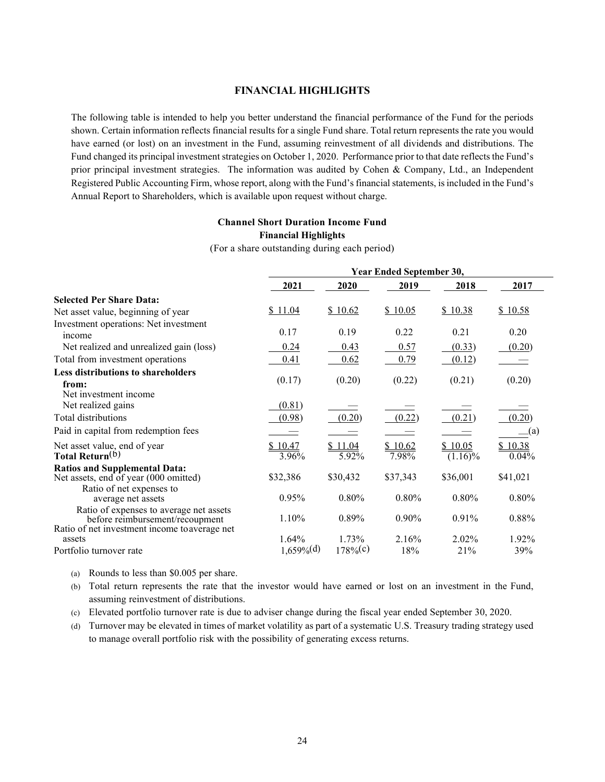#### **FINANCIAL HIGHLIGHTS**

<span id="page-25-0"></span>The following table is intended to help you better understand the financial performance of the Fund for the periods shown. Certain information reflects financial results for a single Fund share. Total return represents the rate you would have earned (or lost) on an investment in the Fund, assuming reinvestment of all dividends and distributions. The Fund changed its principal investment strategies on October 1, 2020. Performance prior to that date reflects the Fund's prior principal investment strategies. The information was audited by Cohen & Company, Ltd., an Independent Registered Public Accounting Firm, whose report, along with the Fund's financial statements, is included in the Fund's Annual Report to Shareholders, which is available upon request without charge.

# **Channel Short Duration Income Fund Financial Highlights**

(For a share outstanding during each period)

|                                                                                                                             | Year Ended September 30, |                  |                  |                       |                  |
|-----------------------------------------------------------------------------------------------------------------------------|--------------------------|------------------|------------------|-----------------------|------------------|
|                                                                                                                             | 2021                     | 2020             | 2019             | 2018                  | 2017             |
| <b>Selected Per Share Data:</b>                                                                                             |                          |                  |                  |                       |                  |
| Net asset value, beginning of year                                                                                          | \$11.04                  | \$10.62          | \$10.05          | \$10.38               | \$10.58          |
| Investment operations: Net investment<br>income                                                                             | 0.17                     | 0.19             | 0.22             | 0.21                  | 0.20             |
| Net realized and unrealized gain (loss)                                                                                     | 0.24                     | 0.43             | 0.57             | (0.33)                | (0.20)           |
| Total from investment operations                                                                                            | 0.41                     | 0.62             | 0.79             | (0.12)                |                  |
| <b>Less distributions to shareholders</b><br>from:                                                                          | (0.17)                   | (0.20)           | (0.22)           | (0.21)                | (0.20)           |
| Net investment income<br>Net realized gains                                                                                 | (0.81)                   |                  |                  |                       |                  |
| Total distributions                                                                                                         | (0.98)                   | (0.20)           | (0.22)           | (0.21)                | (0.20)           |
| Paid in capital from redemption fees                                                                                        |                          |                  |                  |                       | $\Box$ (a)       |
| Net asset value, end of year<br>Total Return <sup>(b)</sup>                                                                 | \$10.47<br>3.96%         | \$11.04<br>5.92% | \$10.62<br>7.98% | \$10.05<br>$(1.16)\%$ | \$10.38<br>0.04% |
| <b>Ratios and Supplemental Data:</b><br>Net assets, end of year (000 omitted)                                               | \$32,386                 | \$30,432         | \$37,343         | \$36,001              | \$41,021         |
| Ratio of net expenses to<br>average net assets                                                                              | 0.95%                    | 0.80%            | 0.80%            | 0.80%                 | 0.80%            |
| Ratio of expenses to average net assets<br>before reimbursement/recoupment<br>Ratio of net investment income to average net | 1.10%                    | 0.89%            | $0.90\%$         | 0.91%                 | 0.88%            |
| assets                                                                                                                      | 1.64%                    | 1.73%            | 2.16%            | 2.02%                 | 1.92%            |
| Portfolio turnover rate                                                                                                     | $1,659\%$ <sup>(d)</sup> | $178%$ (c)       | 18%              | 21%                   | 39%              |

(a) Rounds to less than \$0.005 per share.

(b) Total return represents the rate that the investor would have earned or lost on an investment in the Fund, assuming reinvestment of distributions.

(c) Elevated portfolio turnover rate is due to adviser change during the fiscal year ended September 30, 2020.

(d) Turnover may be elevated in times of market volatility as part of a systematic U.S. Treasury trading strategy used to manage overall portfolio risk with the possibility of generating excess returns.